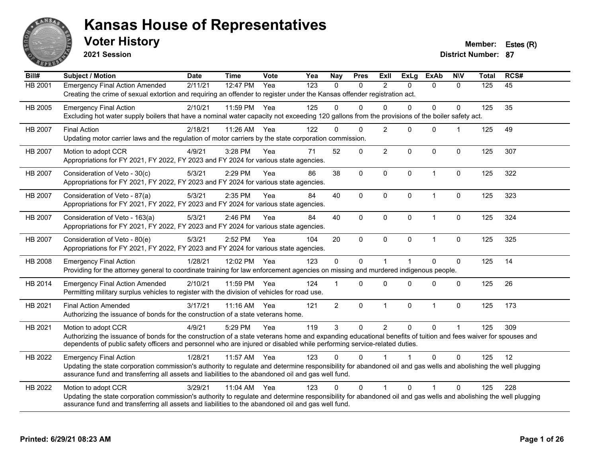

**2021 Session**

**Voter History Member: Estes (R)** 

| Bill#          | Subject / Motion                                                                                                                                                                                                                                                                                                | <b>Date</b> | <b>Time</b> | <b>Vote</b> | Yea | <b>Nay</b>     | <b>Pres</b>  | Exll           | <b>ExLg</b>  | <b>ExAb</b>    | <b>NIV</b>   | <b>Total</b> | RCS# |
|----------------|-----------------------------------------------------------------------------------------------------------------------------------------------------------------------------------------------------------------------------------------------------------------------------------------------------------------|-------------|-------------|-------------|-----|----------------|--------------|----------------|--------------|----------------|--------------|--------------|------|
| HB 2001        | <b>Emergency Final Action Amended</b><br>Creating the crime of sexual extortion and requiring an offender to register under the Kansas offender registration act.                                                                                                                                               | 2/11/21     | 12:47 PM    | Yea         | 123 | $\Omega$       | $\Omega$     | $\overline{2}$ | $\Omega$     | $\mathbf{0}$   | $\Omega$     | 125          | 45   |
| HB 2005        | <b>Emergency Final Action</b><br>Excluding hot water supply boilers that have a nominal water capacity not exceeding 120 gallons from the provisions of the boiler safety act.                                                                                                                                  | 2/10/21     | 11:59 PM    | Yea         | 125 | $\Omega$       | $\Omega$     | $\Omega$       | $\Omega$     | 0              | $\Omega$     | 125          | 35   |
| HB 2007        | <b>Final Action</b><br>Updating motor carrier laws and the regulation of motor carriers by the state corporation commission.                                                                                                                                                                                    | 2/18/21     | 11:26 AM    | Yea         | 122 | $\Omega$       | 0            | $\overline{2}$ | $\Omega$     | $\pmb{0}$      |              | 125          | 49   |
| <b>HB 2007</b> | Motion to adopt CCR<br>Appropriations for FY 2021, FY 2022, FY 2023 and FY 2024 for various state agencies.                                                                                                                                                                                                     | 4/9/21      | 3:28 PM     | Yea         | 71  | 52             | $\mathbf{0}$ | $\overline{2}$ | $\Omega$     | $\mathbf 0$    | $\mathbf 0$  | 125          | 307  |
| <b>HB 2007</b> | Consideration of Veto - 30(c)<br>Appropriations for FY 2021, FY 2022, FY 2023 and FY 2024 for various state agencies.                                                                                                                                                                                           | 5/3/21      | 2:29 PM     | Yea         | 86  | 38             | $\mathbf 0$  | $\mathbf 0$    | $\mathbf{0}$ | $\overline{1}$ | $\mathbf 0$  | 125          | 322  |
| HB 2007        | Consideration of Veto - 87(a)<br>Appropriations for FY 2021, FY 2022, FY 2023 and FY 2024 for various state agencies.                                                                                                                                                                                           | 5/3/21      | 2:35 PM     | Yea         | 84  | 40             | $\mathbf 0$  | $\mathbf 0$    | $\Omega$     | $\mathbf{1}$   | 0            | 125          | 323  |
| HB 2007        | Consideration of Veto - 163(a)<br>Appropriations for FY 2021, FY 2022, FY 2023 and FY 2024 for various state agencies.                                                                                                                                                                                          | 5/3/21      | 2:46 PM     | Yea         | 84  | 40             | $\mathbf{0}$ | $\mathbf{0}$   | $\Omega$     | $\overline{1}$ | $\mathbf 0$  | 125          | 324  |
| HB 2007        | Consideration of Veto - 80(e)<br>Appropriations for FY 2021, FY 2022, FY 2023 and FY 2024 for various state agencies.                                                                                                                                                                                           | 5/3/21      | 2:52 PM     | Yea         | 104 | 20             | $\mathbf 0$  | $\mathbf 0$    | $\mathbf 0$  | $\overline{1}$ | $\mathbf 0$  | 125          | 325  |
| HB 2008        | <b>Emergency Final Action</b><br>Providing for the attorney general to coordinate training for law enforcement agencies on missing and murdered indigenous people.                                                                                                                                              | 1/28/21     | 12:02 PM    | Yea         | 123 | $\mathbf 0$    | $\mathbf{0}$ | $\mathbf 1$    |              | $\Omega$       | $\pmb{0}$    | 125          | 14   |
| HB 2014        | <b>Emergency Final Action Amended</b><br>Permitting military surplus vehicles to register with the division of vehicles for road use.                                                                                                                                                                           | 2/10/21     | 11:59 PM    | Yea         | 124 |                | $\Omega$     | $\Omega$       | $\Omega$     | $\mathbf{0}$   | $\mathbf{0}$ | 125          | 26   |
| HB 2021        | <b>Final Action Amended</b><br>Authorizing the issuance of bonds for the construction of a state veterans home.                                                                                                                                                                                                 | 3/17/21     | 11:16 AM    | Yea         | 121 | $\overline{2}$ | 0            | $\mathbf{1}$   | 0            | 1              | $\mathbf 0$  | 125          | 173  |
| HB 2021        | Motion to adopt CCR<br>Authorizing the issuance of bonds for the construction of a state veterans home and expanding educational benefits of tuition and fees waiver for spouses and<br>dependents of public safety officers and personnel who are injured or disabled while performing service-related duties. | 4/9/21      | 5:29 PM     | Yea         | 119 | 3              | $\mathbf{0}$ | $\overline{2}$ | $\Omega$     | $\Omega$       |              | 125          | 309  |
| HB 2022        | <b>Emergency Final Action</b><br>Updating the state corporation commission's authority to regulate and determine responsibility for abandoned oil and gas wells and abolishing the well plugging<br>assurance fund and transferring all assets and liabilities to the abandoned oil and gas well fund.          | 1/28/21     | 11:57 AM    | Yea         | 123 | $\Omega$       | $\Omega$     |                |              | $\Omega$       | $\mathbf 0$  | 125          | 12   |
| HB 2022        | Motion to adopt CCR<br>Updating the state corporation commission's authority to regulate and determine responsibility for abandoned oil and gas wells and abolishing the well plugging<br>assurance fund and transferring all assets and liabilities to the abandoned oil and gas well fund.                    | 3/29/21     | 11:04 AM    | Yea         | 123 | $\Omega$       | $\Omega$     | 1              | $\Omega$     | 1              | $\Omega$     | 125          | 228  |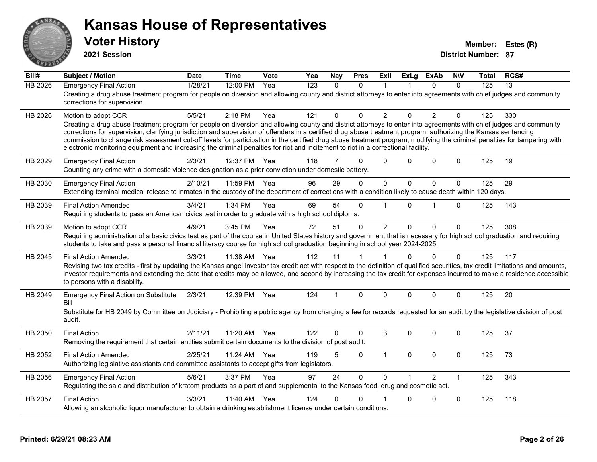

**2021 Session**

| Bill#          | <b>Subject / Motion</b>                                                                                                                                                                                                                                                                                                                                                                                                                                                                                                                                                                                                                                                         | <b>Date</b> | <b>Time</b> | Vote | Yea              | Nay            | <b>Pres</b> | ExII           | <b>ExLg</b>  | <b>ExAb</b>    | <b>NIV</b>   | Total | RCS# |
|----------------|---------------------------------------------------------------------------------------------------------------------------------------------------------------------------------------------------------------------------------------------------------------------------------------------------------------------------------------------------------------------------------------------------------------------------------------------------------------------------------------------------------------------------------------------------------------------------------------------------------------------------------------------------------------------------------|-------------|-------------|------|------------------|----------------|-------------|----------------|--------------|----------------|--------------|-------|------|
| <b>HB 2026</b> | <b>Emergency Final Action</b><br>Creating a drug abuse treatment program for people on diversion and allowing county and district attorneys to enter into agreements with chief judges and community<br>corrections for supervision.                                                                                                                                                                                                                                                                                                                                                                                                                                            | 1/28/21     | 12:00 PM    | Yea  | $\overline{123}$ | $\Omega$       | $\Omega$    | 1              |              | $\Omega$       | $\Omega$     | 125   | 13   |
| HB 2026        | Motion to adopt CCR<br>Creating a drug abuse treatment program for people on diversion and allowing county and district attorneys to enter into agreements with chief judges and community<br>corrections for supervision, clarifying jurisdiction and supervision of offenders in a certified drug abuse treatment program, authorizing the Kansas sentencing<br>commission to change risk assessment cut-off levels for participation in the certified drug abuse treatment program, modifying the criminal penalties for tampering with<br>electronic monitoring equipment and increasing the criminal penalties for riot and incitement to riot in a correctional facility. | 5/5/21      | $2:18$ PM   | Yea  | 121              | 0              | $\Omega$    | $\overline{2}$ | $\Omega$     | $\overline{2}$ | $\Omega$     | 125   | 330  |
| HB 2029        | <b>Emergency Final Action</b><br>Counting any crime with a domestic violence designation as a prior conviction under domestic battery.                                                                                                                                                                                                                                                                                                                                                                                                                                                                                                                                          | 2/3/21      | 12:37 PM    | Yea  | 118              | $\overline{7}$ | $\Omega$    | $\Omega$       | $\Omega$     | $\mathbf{0}$   | $\Omega$     | 125   | 19   |
| HB 2030        | <b>Emergency Final Action</b><br>Extending terminal medical release to inmates in the custody of the department of corrections with a condition likely to cause death within 120 days.                                                                                                                                                                                                                                                                                                                                                                                                                                                                                          | 2/10/21     | 11:59 PM    | Yea  | 96               | 29             | $\Omega$    | $\mathbf 0$    | $\mathbf{0}$ | $\Omega$       | $\mathbf{0}$ | 125   | 29   |
| HB 2039        | <b>Final Action Amended</b><br>Requiring students to pass an American civics test in order to graduate with a high school diploma.                                                                                                                                                                                                                                                                                                                                                                                                                                                                                                                                              | 3/4/21      | 1:34 PM     | Yea  | 69               | 54             | $\Omega$    |                | $\Omega$     | 1              | $\Omega$     | 125   | 143  |
| HB 2039        | Motion to adopt CCR<br>Requiring administration of a basic civics test as part of the course in United States history and government that is necessary for high school graduation and requiring<br>students to take and pass a personal financial literacy course for high school graduation beginning in school year 2024-2025.                                                                                                                                                                                                                                                                                                                                                | 4/9/21      | 3:45 PM     | Yea  | 72               | 51             | $\Omega$    | $\overline{2}$ | $\mathbf{0}$ | 0              | $\Omega$     | 125   | 308  |
| HB 2045        | <b>Final Action Amended</b><br>Revising two tax credits - first by updating the Kansas angel investor tax credit act with respect to the definition of qualified securities, tax credit limitations and amounts,<br>investor requirements and extending the date that credits may be allowed, and second by increasing the tax credit for expenses incurred to make a residence accessible<br>to persons with a disability.                                                                                                                                                                                                                                                     | 3/3/21      | 11:38 AM    | Yea  | 112              | 11             | 1           |                | $\mathbf{0}$ | $\mathbf{0}$   | $\Omega$     | 125   | 117  |
| HB 2049        | <b>Emergency Final Action on Substitute</b><br>Bill<br>Substitute for HB 2049 by Committee on Judiciary - Prohibiting a public agency from charging a fee for records requested for an audit by the legislative division of post<br>audit.                                                                                                                                                                                                                                                                                                                                                                                                                                      | 2/3/21      | 12:39 PM    | Yea  | 124              | 1              | $\Omega$    | $\Omega$       | $\Omega$     | $\Omega$       | $\Omega$     | 125   | 20   |
| HB 2050        | <b>Final Action</b><br>Removing the requirement that certain entities submit certain documents to the division of post audit.                                                                                                                                                                                                                                                                                                                                                                                                                                                                                                                                                   | 2/11/21     | 11:20 AM    | Yea  | 122              | $\Omega$       | $\Omega$    | 3              | $\Omega$     | $\Omega$       | $\Omega$     | 125   | 37   |
| HB 2052        | <b>Final Action Amended</b><br>Authorizing legislative assistants and committee assistants to accept gifts from legislators.                                                                                                                                                                                                                                                                                                                                                                                                                                                                                                                                                    | 2/25/21     | 11:24 AM    | Yea  | 119              | 5              | $\mathbf 0$ | $\mathbf{1}$   | $\mathbf{0}$ | $\mathbf{0}$   | $\mathbf 0$  | 125   | 73   |
| HB 2056        | <b>Emergency Final Action</b><br>Regulating the sale and distribution of kratom products as a part of and supplemental to the Kansas food, drug and cosmetic act.                                                                                                                                                                                                                                                                                                                                                                                                                                                                                                               | 5/6/21      | 3:37 PM     | Yea  | 97               | 24             | $\Omega$    | $\Omega$       |              | $\mathcal{P}$  | $\mathbf{1}$ | 125   | 343  |
| HB 2057        | <b>Final Action</b><br>Allowing an alcoholic liquor manufacturer to obtain a drinking establishment license under certain conditions.                                                                                                                                                                                                                                                                                                                                                                                                                                                                                                                                           | 3/3/21      | 11:40 AM    | Yea  | 124              | 0              | $\Omega$    |                | 0            | 0              | $\Omega$     | 125   | 118  |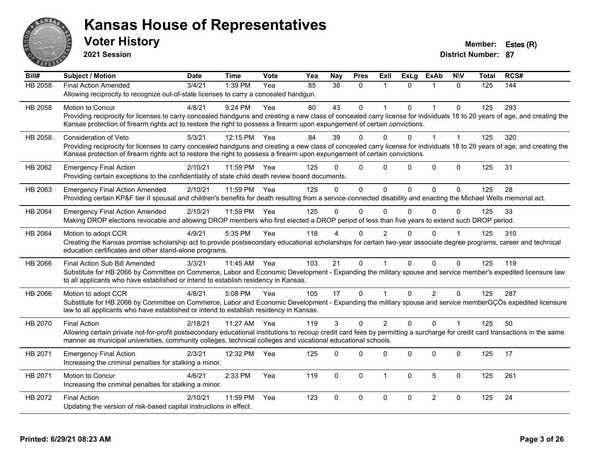

**2021 Session**

| Bill#          | <b>Subject / Motion</b>                                                                                                                                                      | <b>Date</b> | <b>Time</b>  | Vote | Yea | <b>Nay</b>      | <b>Pres</b>  | Exll           | <b>ExLg</b> | <b>ExAb</b>    | <b>NIV</b>   | <b>Total</b> | RCS# |
|----------------|------------------------------------------------------------------------------------------------------------------------------------------------------------------------------|-------------|--------------|------|-----|-----------------|--------------|----------------|-------------|----------------|--------------|--------------|------|
| <b>HB 2058</b> | <b>Final Action Amended</b>                                                                                                                                                  | 3/4/21      | 1:39 PM      | Yea  | 85  | $\overline{38}$ | $\Omega$     |                | $\Omega$    |                | $\Omega$     | 125          | 144  |
|                | Allowing reciprocity to recognize out-of-state licenses to carry a concealed handgun.                                                                                        |             |              |      |     |                 |              |                |             |                |              |              |      |
| HB 2058        | Motion to Concur                                                                                                                                                             | 4/8/21      | 9:24 PM      | Yea  | 80  | 43              | $\mathbf 0$  |                | $\Omega$    | $\overline{1}$ | $\mathbf 0$  | 125          | 293  |
|                | Providing reciprocity for licenses to carry concealed handguns and creating a new class of concealed carry license for individuals 18 to 20 years of age, and creating the   |             |              |      |     |                 |              |                |             |                |              |              |      |
|                | Kansas protection of firearm rights act to restore the right to possess a firearm upon expungement of certain convictions.                                                   |             |              |      |     |                 |              |                |             |                |              |              |      |
| HB 2058        | <b>Consideration of Veto</b>                                                                                                                                                 | 5/3/21      | 12:15 PM Yea |      | 84  | 39              | $\Omega$     | 0              | 0           |                |              | 125          | 320  |
|                | Providing reciprocity for licenses to carry concealed handguns and creating a new class of concealed carry license for individuals 18 to 20 years of age, and creating the   |             |              |      |     |                 |              |                |             |                |              |              |      |
|                | Kansas protection of firearm rights act to restore the right to possess a firearm upon expungement of certain convictions.                                                   |             |              |      |     |                 |              |                |             |                |              |              |      |
| HB 2062        | <b>Emergency Final Action</b>                                                                                                                                                | 2/10/21     | 11:59 PM     | Yea  | 125 | U               | $\mathbf 0$  | $\Omega$       | $\Omega$    | $\pmb{0}$      | $\mathbf 0$  | 125          | 31   |
|                | Providing certain exceptions to the confidentiality of state child death review board documents.                                                                             |             |              |      |     |                 |              |                |             |                |              |              |      |
| HB 2063        | <b>Emergency Final Action Amended</b>                                                                                                                                        | 2/10/21     | 11:59 PM Yea |      | 125 | $\Omega$        | $\mathbf{0}$ | $\Omega$       | 0           | $\Omega$       | $\Omega$     | 125          | 28   |
|                | Providing certain KP&F tier II spousal and children's benefits for death resulting from a service-connected disability and enacting the Michael Wells memorial act.          |             |              |      |     |                 |              |                |             |                |              |              |      |
| HB 2064        | <b>Emergency Final Action Amended</b>                                                                                                                                        | 2/10/21     | 11:59 PM     | Yea  | 125 | $\Omega$        | $\mathbf{0}$ | $\mathbf{0}$   | $\Omega$    | $\Omega$       | $\Omega$     | 125          | 33   |
|                | Making DROP elections revocable and allowing DROP members who first elected a DROP period of less than five years to extend such DROP period.                                |             |              |      |     |                 |              |                |             |                |              |              |      |
| HB 2064        | Motion to adopt CCR                                                                                                                                                          | 4/9/21      | 5:35 PM      | Yea  | 118 |                 | $\Omega$     | $\overline{2}$ |             | $\Omega$       |              | 125          | 310  |
|                | Creating the Kansas promise scholarship act to provide postsecondary educational scholarships for certain two-year associate degree programs, career and technical           |             |              |      |     |                 |              |                |             |                |              |              |      |
|                | education certificates and other stand-alone programs.                                                                                                                       |             |              |      |     |                 |              |                |             |                |              |              |      |
| HB 2066        | Final Action Sub Bill Amended                                                                                                                                                | 3/3/21      | 11:45 AM Yea |      | 103 | 21              | $\mathbf 0$  |                | $\Omega$    | $\Omega$       | $\Omega$     | 125          | 119  |
|                | Substitute for HB 2066 by Committee on Commerce, Labor and Economic Development - Expanding the military spouse and service member's expedited licensure law                 |             |              |      |     |                 |              |                |             |                |              |              |      |
|                | to all applicants who have established or intend to establish residency in Kansas.                                                                                           |             |              |      |     |                 |              |                |             |                |              |              |      |
| HB 2066        | Motion to adopt CCR                                                                                                                                                          | 4/8/21      | 5:08 PM      | Yea  | 105 | 17              | $\Omega$     |                | $\Omega$    | $\overline{2}$ | $\Omega$     | 125          | 287  |
|                | Substitute for HB 2066 by Committee on Commerce, Labor and Economic Development - Expanding the military spouse and service memberGÇÖs expedited licensure                   |             |              |      |     |                 |              |                |             |                |              |              |      |
|                | law to all applicants who have established or intend to establish residency in Kansas.                                                                                       |             |              |      |     |                 |              |                |             |                |              |              |      |
| HB 2070        | <b>Final Action</b>                                                                                                                                                          | 2/18/21     | 11:27 AM     | Yea  | 119 | $\mathcal{S}$   | $\Omega$     | $\overline{2}$ | $\Omega$    | $\Omega$       | $\mathbf{1}$ | 125          | 50   |
|                | Allowing certain private not-for-profit postsecondary educational institutions to recoup credit card fees by permitting a surcharge for credit card transactions in the same |             |              |      |     |                 |              |                |             |                |              |              |      |
|                | manner as municipal universities, community colleges, technical colleges and vocational educational schools.                                                                 |             |              |      |     |                 |              |                |             |                |              |              |      |
| HB 2071        | <b>Emergency Final Action</b>                                                                                                                                                | 2/3/21      | 12:32 PM     | Yea  | 125 | $\Omega$        | $\Omega$     | $\Omega$       | $\Omega$    | 0              | $\Omega$     | 125          | 17   |
|                | Increasing the criminal penalties for stalking a minor.                                                                                                                      |             |              |      |     |                 |              |                |             |                |              |              |      |
| HB 2071        | Motion to Concur                                                                                                                                                             | 4/6/21      | 2:33 PM      | Yea  | 119 | $\mathbf 0$     | $\mathbf 0$  | 1              | 0           | 5              | $\mathbf 0$  | 125          | 261  |
|                | Increasing the criminal penalties for stalking a minor.                                                                                                                      |             |              |      |     |                 |              |                |             |                |              |              |      |
| HB 2072        | <b>Final Action</b>                                                                                                                                                          | 2/10/21     | 11:59 PM     | Yea  | 123 | $\Omega$        | $\mathbf 0$  | $\mathbf 0$    | $\Omega$    | $\overline{2}$ | $\mathbf 0$  | 125          | 24   |
|                | Updating the version of risk-based capital instructions in effect.                                                                                                           |             |              |      |     |                 |              |                |             |                |              |              |      |
|                |                                                                                                                                                                              |             |              |      |     |                 |              |                |             |                |              |              |      |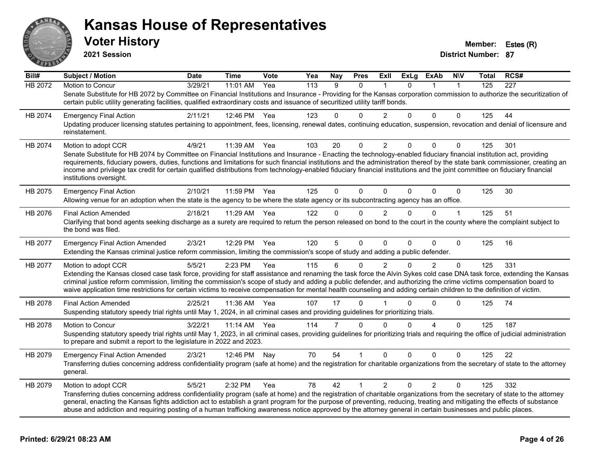

**2021 Session**

| Bill#          | <b>Subject / Motion</b>                                                                                                                                                                                                                                                                                                                                                                                                                                                                                                                                       | <b>Date</b> | <b>Time</b>  | Vote | Yea              | <b>Nay</b>     | <b>Pres</b> | Exll           | <b>ExLg</b> | ExAb           | <b>NIV</b>   | Total | RCS# |
|----------------|---------------------------------------------------------------------------------------------------------------------------------------------------------------------------------------------------------------------------------------------------------------------------------------------------------------------------------------------------------------------------------------------------------------------------------------------------------------------------------------------------------------------------------------------------------------|-------------|--------------|------|------------------|----------------|-------------|----------------|-------------|----------------|--------------|-------|------|
| <b>HB 2072</b> | Motion to Concur                                                                                                                                                                                                                                                                                                                                                                                                                                                                                                                                              | 3/29/21     | 11:01 AM     | Yea  | $\overline{113}$ | 9              | 0           |                | 0           |                | 1            | 125   | 227  |
|                | Senate Substitute for HB 2072 by Committee on Financial Institutions and Insurance - Providing for the Kansas corporation commission to authorize the securitization of<br>certain public utility generating facilities, qualified extraordinary costs and issuance of securitized utility tariff bonds.                                                                                                                                                                                                                                                      |             |              |      |                  |                |             |                |             |                |              |       |      |
| HB 2074        | <b>Emergency Final Action</b>                                                                                                                                                                                                                                                                                                                                                                                                                                                                                                                                 | 2/11/21     | 12:46 PM Yea |      | 123              | 0              | $\Omega$    | 2              | $\Omega$    | $\Omega$       | $\Omega$     | 125   | 44   |
|                | Updating producer licensing statutes pertaining to appointment, fees, licensing, renewal dates, continuing education, suspension, revocation and denial of licensure and<br>reinstatement.                                                                                                                                                                                                                                                                                                                                                                    |             |              |      |                  |                |             |                |             |                |              |       |      |
| HB 2074        | Motion to adopt CCR                                                                                                                                                                                                                                                                                                                                                                                                                                                                                                                                           | 4/9/21      | 11:39 AM     | Yea  | 103              | 20             | 0           | $\overline{2}$ | 0           | $\mathbf 0$    | 0            | 125   | 301  |
|                | Senate Substitute for HB 2074 by Committee on Financial Institutions and Insurance - Enacting the technology-enabled fiduciary financial institution act, providing<br>requirements, fiduciary powers, duties, functions and limitations for such financial institutions and the administration thereof by the state bank commissioner, creating an<br>income and privilege tax credit for certain qualified distributions from technology-enabled fiduciary financial institutions and the joint committee on fiduciary financial<br>institutions oversight. |             |              |      |                  |                |             |                |             |                |              |       |      |
| HB 2075        | <b>Emergency Final Action</b><br>Allowing venue for an adoption when the state is the agency to be where the state agency or its subcontracting agency has an office.                                                                                                                                                                                                                                                                                                                                                                                         | 2/10/21     | 11:59 PM     | Yea  | 125              | $\Omega$       | $\Omega$    | $\mathbf{0}$   | 0           | $\Omega$       | $\mathbf 0$  | 125   | 30   |
| HB 2076        | <b>Final Action Amended</b>                                                                                                                                                                                                                                                                                                                                                                                                                                                                                                                                   | 2/18/21     | 11:29 AM     | Yea  | 122              | 0              | $\Omega$    | $\overline{2}$ | $\Omega$    | $\Omega$       | 1            | 125   | 51   |
|                | Clarifying that bond agents seeking discharge as a surety are required to return the person released on bond to the court in the county where the complaint subject to<br>the bond was filed.                                                                                                                                                                                                                                                                                                                                                                 |             |              |      |                  |                |             |                |             |                |              |       |      |
| <b>HB 2077</b> | <b>Emergency Final Action Amended</b><br>Extending the Kansas criminal justice reform commission, limiting the commission's scope of study and adding a public defender.                                                                                                                                                                                                                                                                                                                                                                                      | 2/3/21      | 12:29 PM     | Yea  | 120              | 5              | $\Omega$    | $\Omega$       | 0           | $\Omega$       | $\mathbf{0}$ | 125   | 16   |
| HB 2077        | Motion to adopt CCR                                                                                                                                                                                                                                                                                                                                                                                                                                                                                                                                           | 5/5/21      | 2:23 PM      | Yea  | 115              | 6              | $\Omega$    | $\overline{2}$ | 0           | $\overline{2}$ | $\Omega$     | 125   | 331  |
|                | Extending the Kansas closed case task force, providing for staff assistance and renaming the task force the Alvin Sykes cold case DNA task force, extending the Kansas<br>criminal justice reform commission, limiting the commission's scope of study and adding a public defender, and authorizing the crime victims compensation board to<br>waive application time restrictions for certain victims to receive compensation for mental health counseling and adding certain children to the definition of victim.                                         |             |              |      |                  |                |             |                |             |                |              |       |      |
| HB 2078        | <b>Final Action Amended</b>                                                                                                                                                                                                                                                                                                                                                                                                                                                                                                                                   | 2/25/21     | 11:36 AM     | Yea  | 107              | 17             | $\Omega$    |                | 0           | $\Omega$       | $\Omega$     | 125   | 74   |
|                | Suspending statutory speedy trial rights until May 1, 2024, in all criminal cases and providing guidelines for prioritizing trials.                                                                                                                                                                                                                                                                                                                                                                                                                           |             |              |      |                  |                |             |                |             |                |              |       |      |
| HB 2078        | Motion to Concur                                                                                                                                                                                                                                                                                                                                                                                                                                                                                                                                              | 3/22/21     | 11:14 AM     | Yea  | 114              | $\overline{7}$ | $\Omega$    | $\Omega$       | $\Omega$    | Δ              | $\Omega$     | 125   | 187  |
|                | Suspending statutory speedy trial rights until May 1, 2023, in all criminal cases, providing guidelines for prioritizing trials and requiring the office of judicial administration<br>to prepare and submit a report to the legislature in 2022 and 2023.                                                                                                                                                                                                                                                                                                    |             |              |      |                  |                |             |                |             |                |              |       |      |
| HB 2079        | <b>Emergency Final Action Amended</b>                                                                                                                                                                                                                                                                                                                                                                                                                                                                                                                         | 2/3/21      | 12:46 PM Nay |      | 70               | 54             |             | $\Omega$       | $\Omega$    | $\Omega$       | $\Omega$     | 125   | 22   |
|                | Transferring duties concerning address confidentiality program (safe at home) and the registration for charitable organizations from the secretary of state to the attorney<br>general.                                                                                                                                                                                                                                                                                                                                                                       |             |              |      |                  |                |             |                |             |                |              |       |      |
| HB 2079        | Motion to adopt CCR                                                                                                                                                                                                                                                                                                                                                                                                                                                                                                                                           | 5/5/21      | 2:32 PM      | Yea  | 78               | 42             | 1           | $\overline{2}$ | $\Omega$    | $\overline{2}$ | $\mathbf 0$  | 125   | 332  |
|                | Transferring duties concerning address confidentiality program (safe at home) and the registration of charitable organizations from the secretary of state to the attorney<br>general, enacting the Kansas fights addiction act to establish a grant program for the purpose of preventing, reducing, treating and mitigating the effects of substance<br>abuse and addiction and requiring posting of a human trafficking awareness notice approved by the attorney general in certain businesses and public places.                                         |             |              |      |                  |                |             |                |             |                |              |       |      |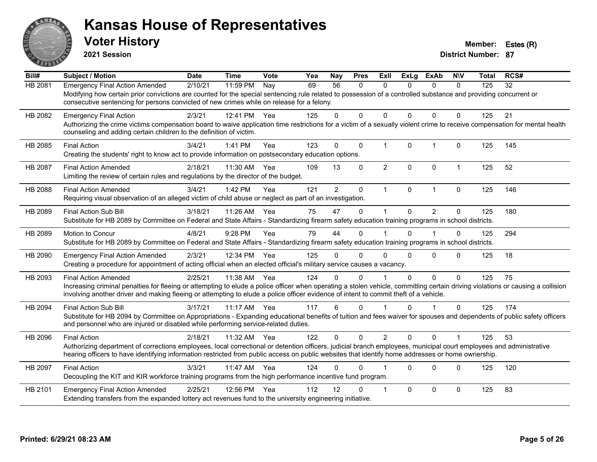

**2021 Session**

| Bill#   | <b>Subject / Motion</b>                                                                                                                                                         | <b>Date</b> | <b>Time</b> | Vote | Yea | <b>Nay</b>     | <b>Pres</b>  | ExII           | <b>ExLg</b>  | <b>ExAb</b>    | <b>NIV</b>   | Total | RCS# |
|---------|---------------------------------------------------------------------------------------------------------------------------------------------------------------------------------|-------------|-------------|------|-----|----------------|--------------|----------------|--------------|----------------|--------------|-------|------|
| HB 2081 | <b>Emergency Final Action Amended</b>                                                                                                                                           | 2/10/21     | 11:59 PM    | Nay  | 69  | 56             | 0            | $\Omega$       | 0            | $\Omega$       | $\Omega$     | 125   | 32   |
|         | Modifying how certain prior convictions are counted for the special sentencing rule related to possession of a controlled substance and providing concurrent or                 |             |             |      |     |                |              |                |              |                |              |       |      |
|         | consecutive sentencing for persons convicted of new crimes while on release for a felony.                                                                                       |             |             |      |     |                |              |                |              |                |              |       |      |
| HB 2082 | <b>Emergency Final Action</b>                                                                                                                                                   | 2/3/21      | 12:41 PM    | Yea  | 125 | 0              | $\Omega$     | $\Omega$       | $\Omega$     | $\Omega$       | $\Omega$     | 125   | 21   |
|         | Authorizing the crime victims compensation board to waive application time restrictions for a victim of a sexually violent crime to receive compensation for mental health      |             |             |      |     |                |              |                |              |                |              |       |      |
|         | counseling and adding certain children to the definition of victim.                                                                                                             |             |             |      |     |                |              |                |              |                |              |       |      |
| HB 2085 | <b>Final Action</b>                                                                                                                                                             | 3/4/21      | 1:41 PM     | Yea  | 123 | $\Omega$       | $\mathbf{0}$ | $\mathbf{1}$   | $\mathbf{0}$ | $\mathbf{1}$   | $\mathbf 0$  | 125   | 145  |
|         | Creating the students' right to know act to provide information on postsecondary education options.                                                                             |             |             |      |     |                |              |                |              |                |              |       |      |
| HB 2087 | <b>Final Action Amended</b>                                                                                                                                                     | 2/18/21     | 11:30 AM    | Yea  | 109 | 13             | 0            | $\overline{2}$ | $\Omega$     | $\mathbf 0$    | $\mathbf{1}$ | 125   | 52   |
|         | Limiting the review of certain rules and regulations by the director of the budget.                                                                                             |             |             |      |     |                |              |                |              |                |              |       |      |
| HB 2088 | <b>Final Action Amended</b>                                                                                                                                                     | 3/4/21      | 1:42 PM     | Yea  | 121 | $\overline{2}$ | $\mathbf 0$  | $\mathbf{1}$   | $\mathbf{0}$ | $\mathbf{1}$   | $\mathbf 0$  | 125   | 146  |
|         | Requiring visual observation of an alleged victim of child abuse or neglect as part of an investigation.                                                                        |             |             |      |     |                |              |                |              |                |              |       |      |
|         |                                                                                                                                                                                 |             |             |      |     |                |              |                |              |                |              |       |      |
| HB 2089 | Final Action Sub Bill<br>Substitute for HB 2089 by Committee on Federal and State Affairs - Standardizing firearm safety education training programs in school districts.       | 3/18/21     | 11:26 AM    | Yea  | 75  | 47             | 0            |                | $\Omega$     | $\overline{2}$ | $\mathbf 0$  | 125   | 180  |
|         |                                                                                                                                                                                 |             |             |      |     |                |              |                |              |                |              |       |      |
| HB 2089 | Motion to Concur                                                                                                                                                                | 4/8/21      | 9:28 PM     | Yea  | 79  | 44             | $\Omega$     |                | $\Omega$     | 1              | 0            | 125   | 294  |
|         | Substitute for HB 2089 by Committee on Federal and State Affairs - Standardizing firearm safety education training programs in school districts.                                |             |             |      |     |                |              |                |              |                |              |       |      |
| HB 2090 | <b>Emergency Final Action Amended</b>                                                                                                                                           | 2/3/21      | 12:34 PM    | Yea  | 125 | 0              | $\Omega$     | $\Omega$       | $\Omega$     | $\Omega$       | $\Omega$     | 125   | 18   |
|         | Creating a procedure for appointment of acting official when an elected official's military service causes a vacancy.                                                           |             |             |      |     |                |              |                |              |                |              |       |      |
| HB 2093 | <b>Final Action Amended</b>                                                                                                                                                     | 2/25/21     | 11:38 AM    | Yea  | 124 | 0              | $\Omega$     |                | 0            | $\Omega$       | $\mathbf{0}$ | 125   | 75   |
|         | Increasing criminal penalties for fleeing or attempting to elude a police officer when operating a stolen vehicle, committing certain driving violations or causing a collision |             |             |      |     |                |              |                |              |                |              |       |      |
|         | involving another driver and making fleeing or attempting to elude a police officer evidence of intent to commit theft of a vehicle.                                            |             |             |      |     |                |              |                |              |                |              |       |      |
| HB 2094 | <b>Final Action Sub Bill</b>                                                                                                                                                    | 3/17/21     | $11:17$ AM  | Yea  | 117 | 6              | $\mathbf{0}$ |                | $\Omega$     | 1              | $\Omega$     | 125   | 174  |
|         | Substitute for HB 2094 by Committee on Appropriations - Expanding educational benefits of tuition and fees waiver for spouses and dependents of public safety officers          |             |             |      |     |                |              |                |              |                |              |       |      |
|         | and personnel who are injured or disabled while performing service-related duties.                                                                                              |             |             |      |     |                |              |                |              |                |              |       |      |
| HB 2096 | <b>Final Action</b>                                                                                                                                                             | 2/18/21     | 11:32 AM    | Yea  | 122 | $\Omega$       | $\Omega$     | $\overline{2}$ | $\Omega$     | $\Omega$       | $\mathbf 1$  | 125   | 53   |
|         | Authorizing department of corrections employees, local correctional or detention officers, judicial branch employees, municipal court employees and administrative              |             |             |      |     |                |              |                |              |                |              |       |      |
|         | hearing officers to have identifying information restricted from public access on public websites that identify home addresses or home ownership.                               |             |             |      |     |                |              |                |              |                |              |       |      |
| HB 2097 | <b>Final Action</b>                                                                                                                                                             | 3/3/21      | 11:47 AM    | Yea  | 124 | U              | $\Omega$     |                | $\Omega$     | $\Omega$       | $\mathbf{0}$ | 125   | 120  |
|         | Decoupling the KIT and KIR workforce training programs from the high performance incentive fund program.                                                                        |             |             |      |     |                |              |                |              |                |              |       |      |
| HB 2101 | <b>Emergency Final Action Amended</b>                                                                                                                                           | 2/25/21     | 12:56 PM    | Yea  | 112 | 12             | $\Omega$     |                | $\Omega$     | $\Omega$       | $\mathbf{0}$ | 125   | 83   |
|         | Extending transfers from the expanded lottery act revenues fund to the university engineering initiative.                                                                       |             |             |      |     |                |              |                |              |                |              |       |      |
|         |                                                                                                                                                                                 |             |             |      |     |                |              |                |              |                |              |       |      |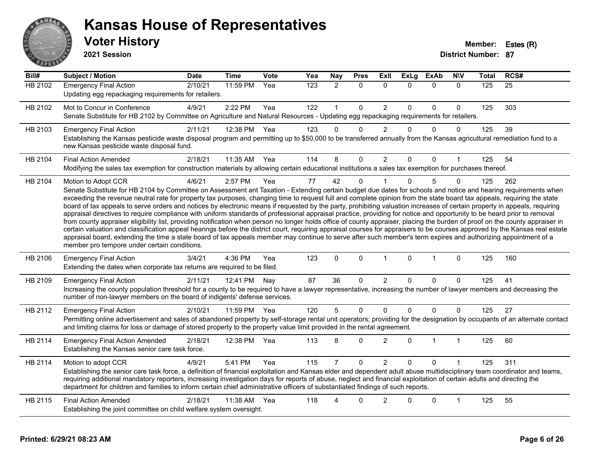

#### **Voter History Member: Estes (R) Kansas House of Representatives**

**2021 Session**

| Bill#          | <b>Subject / Motion</b>                                                                                                                                                                                                                                                                                                                                                                                                                                                                                                                                                                                                                                                                                                                                                                                                                                                                                                                                                                                                                                                                                                                                                                                                                                                                                     | <b>Date</b> | <b>Time</b> | <b>Vote</b> | Yea | Nay            | <b>Pres</b>  | Exll           | <b>ExLg</b> | <b>ExAb</b>    | <b>NIV</b>   | <b>Total</b> | RCS# |
|----------------|-------------------------------------------------------------------------------------------------------------------------------------------------------------------------------------------------------------------------------------------------------------------------------------------------------------------------------------------------------------------------------------------------------------------------------------------------------------------------------------------------------------------------------------------------------------------------------------------------------------------------------------------------------------------------------------------------------------------------------------------------------------------------------------------------------------------------------------------------------------------------------------------------------------------------------------------------------------------------------------------------------------------------------------------------------------------------------------------------------------------------------------------------------------------------------------------------------------------------------------------------------------------------------------------------------------|-------------|-------------|-------------|-----|----------------|--------------|----------------|-------------|----------------|--------------|--------------|------|
| <b>HB 2102</b> | <b>Emergency Final Action</b><br>Updating egg repackaging requirements for retailers.                                                                                                                                                                                                                                                                                                                                                                                                                                                                                                                                                                                                                                                                                                                                                                                                                                                                                                                                                                                                                                                                                                                                                                                                                       | 2/10/21     | 11:59 PM    | Yea         | 123 | $\overline{2}$ | $\mathbf{0}$ | $\Omega$       | $\Omega$    | $\mathbf{0}$   | $\mathbf{0}$ | 125          | 25   |
| HB 2102        | Mot to Concur in Conference<br>Senate Substitute for HB 2102 by Committee on Agriculture and Natural Resources - Updating egg repackaging requirements for retailers.                                                                                                                                                                                                                                                                                                                                                                                                                                                                                                                                                                                                                                                                                                                                                                                                                                                                                                                                                                                                                                                                                                                                       | 4/9/21      | 2:22 PM     | Yea         | 122 | $\mathbf{1}$   | $\mathbf 0$  | $\overline{c}$ | $\Omega$    | $\mathbf 0$    | $\Omega$     | 125          | 303  |
| HB 2103        | <b>Emergency Final Action</b><br>Establishing the Kansas pesticide waste disposal program and permitting up to \$50,000 to be transferred annually from the Kansas agricultural remediation fund to a<br>new Kansas pesticide waste disposal fund.                                                                                                                                                                                                                                                                                                                                                                                                                                                                                                                                                                                                                                                                                                                                                                                                                                                                                                                                                                                                                                                          | 2/11/21     | 12:38 PM    | Yea         | 123 | 0              | $\Omega$     | $\overline{2}$ | $\Omega$    | $\mathbf{0}$   | $\mathbf{0}$ | 125          | 39   |
| HB 2104        | <b>Final Action Amended</b><br>Modifying the sales tax exemption for construction materials by allowing certain educational institutions a sales tax exemption for purchases thereof.                                                                                                                                                                                                                                                                                                                                                                                                                                                                                                                                                                                                                                                                                                                                                                                                                                                                                                                                                                                                                                                                                                                       | 2/18/21     | 11:35 AM    | Yea         | 114 | 8              | $\Omega$     | $\overline{2}$ | $\Omega$    | $\mathbf{0}$   |              | 125          | 54   |
| HB 2104        | Motion to Adopt CCR<br>Senate Substitute for HB 2104 by Committee on Assessment ant Taxation - Extending certain budget due dates for schools and notice and hearing requirements when<br>exceeding the revenue neutral rate for property tax purposes, changing time to request full and complete opinion from the state board tax appeals, requiring the state<br>board of tax appeals to serve orders and notices by electronic means if requested by the party, prohibiting valuation increases of certain property in appeals, requiring<br>appraisal directives to require compliance with uniform standards of professional appraisal practice, providing for notice and opportunity to be heard prior to removal<br>from county appraiser eligibility list, providing notification when person no longer holds office of county appraiser, placing the burden of proof on the county appraiser in<br>certain valuation and classification appeal hearings before the district court, requiring appraisal courses for appraisers to be courses approved by the Kansas real estate<br>appraisal board, extending the time a state board of tax appeals member may continue to serve after such member's term expires and authorizing appointment of a<br>member pro tempore under certain conditions. | 4/6/21      | 2:57 PM     | Yea         | 77  | 42             | $\Omega$     |                | $\Omega$    | 5              | 0            | 125          | 262  |
| HB 2106        | <b>Emergency Final Action</b><br>Extending the dates when corporate tax returns are required to be filed.                                                                                                                                                                                                                                                                                                                                                                                                                                                                                                                                                                                                                                                                                                                                                                                                                                                                                                                                                                                                                                                                                                                                                                                                   | 3/4/21      | 4:36 PM     | Yea         | 123 | $\mathbf{0}$   | $\mathbf{0}$ | $\mathbf{1}$   | $\Omega$    | $\mathbf{1}$   | $\mathbf{0}$ | 125          | 160  |
| HB 2109        | <b>Emergency Final Action</b><br>Increasing the county population threshold for a county to be required to have a lawyer representative, increasing the number of lawyer members and decreasing the<br>number of non-lawyer members on the board of indigents' defense services.                                                                                                                                                                                                                                                                                                                                                                                                                                                                                                                                                                                                                                                                                                                                                                                                                                                                                                                                                                                                                            | 2/11/21     | 12:41 PM    | Nay         | 87  | 36             | $\Omega$     | $\overline{2}$ | $\Omega$    | $\Omega$       | $\Omega$     | 125          | 41   |
| HB 2112        | <b>Emergency Final Action</b><br>Permitting online advertisement and sales of abandoned property by self-storage rental unit operators; providing for the designation by occupants of an alternate contact<br>and limiting claims for loss or damage of stored property to the property value limit provided in the rental agreement.                                                                                                                                                                                                                                                                                                                                                                                                                                                                                                                                                                                                                                                                                                                                                                                                                                                                                                                                                                       | 2/10/21     | 11:59 PM    | Yea         | 120 | 5              | $\mathbf 0$  | 0              | $\Omega$    | $\mathbf 0$    | 0            | 125          | 27   |
| HB 2114        | <b>Emergency Final Action Amended</b><br>Establishing the Kansas senior care task force.                                                                                                                                                                                                                                                                                                                                                                                                                                                                                                                                                                                                                                                                                                                                                                                                                                                                                                                                                                                                                                                                                                                                                                                                                    | 2/18/21     | 12:38 PM    | Yea         | 113 | 8              | $\Omega$     | $\overline{2}$ | $\Omega$    | $\overline{1}$ | 1            | 125          | 60   |
| HB 2114        | Motion to adopt CCR<br>Establishing the senior care task force, a definition of financial exploitation and Kansas elder and dependent adult abuse multidisciplinary team coordinator and teams,<br>requiring additional mandatory reporters, increasing investigation days for reports of abuse, neglect and financial exploitation of certain adults and directing the<br>department for children and families to inform certain chief administrative officers of substantiated findings of such reports.                                                                                                                                                                                                                                                                                                                                                                                                                                                                                                                                                                                                                                                                                                                                                                                                  | 4/9/21      | 5:41 PM     | Yea         | 115 | 7              | $\Omega$     | $\overline{2}$ | $\Omega$    | $\Omega$       |              | 125          | 311  |
| HB 2115        | <b>Final Action Amended</b><br>Establishing the joint committee on child welfare system oversight.                                                                                                                                                                                                                                                                                                                                                                                                                                                                                                                                                                                                                                                                                                                                                                                                                                                                                                                                                                                                                                                                                                                                                                                                          | 2/18/21     | 11:38 AM    | Yea         | 118 | Δ              | 0            | $\overline{2}$ | ∩           | $\Omega$       | 1            | 125          | 55   |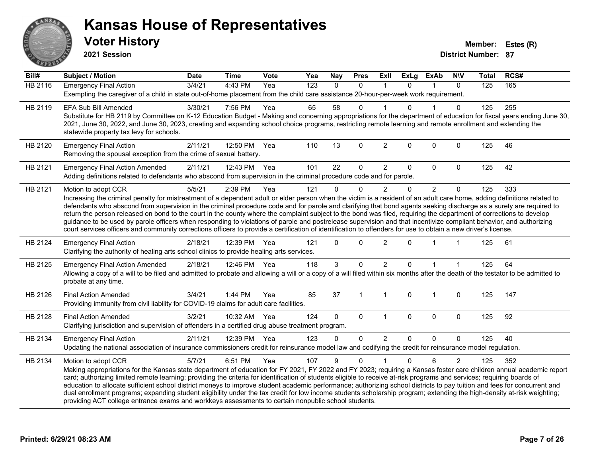

**2021 Session**

| Bill#          | <b>Subject / Motion</b>                                                                                                                                                                                                                                                                                                                                                                                                                                                                                                                                                                                                                                                                                                                                                                                                                                                                | <b>Date</b> | <b>Time</b>  | <b>Vote</b> | Yea | <b>Nay</b> | <b>Pres</b>  | <b>Exll</b>    | <b>ExLg</b>  | <b>ExAb</b>    | <b>NIV</b>     | <b>Total</b> | RCS# |
|----------------|----------------------------------------------------------------------------------------------------------------------------------------------------------------------------------------------------------------------------------------------------------------------------------------------------------------------------------------------------------------------------------------------------------------------------------------------------------------------------------------------------------------------------------------------------------------------------------------------------------------------------------------------------------------------------------------------------------------------------------------------------------------------------------------------------------------------------------------------------------------------------------------|-------------|--------------|-------------|-----|------------|--------------|----------------|--------------|----------------|----------------|--------------|------|
| <b>HB 2116</b> | <b>Emergency Final Action</b><br>Exempting the caregiver of a child in state out-of-home placement from the child care assistance 20-hour-per-week work requirement.                                                                                                                                                                                                                                                                                                                                                                                                                                                                                                                                                                                                                                                                                                                   | 3/4/21      | 4:43 PM      | Yea         | 123 | $\Omega$   | 0            | $\mathbf 1$    | $\Omega$     | $\mathbf{1}$   | $\mathbf{0}$   | 125          | 165  |
| HB 2119        | <b>EFA Sub Bill Amended</b><br>Substitute for HB 2119 by Committee on K-12 Education Budget - Making and concerning appropriations for the department of education for fiscal years ending June 30,<br>2021, June 30, 2022, and June 30, 2023, creating and expanding school choice programs, restricting remote learning and remote enrollment and extending the<br>statewide property tax levy for schools.                                                                                                                                                                                                                                                                                                                                                                                                                                                                          | 3/30/21     | 7:56 PM      | Yea         | 65  | 58         | $\Omega$     |                | U            |                | 0              | 125          | 255  |
| HB 2120        | <b>Emergency Final Action</b><br>Removing the spousal exception from the crime of sexual battery.                                                                                                                                                                                                                                                                                                                                                                                                                                                                                                                                                                                                                                                                                                                                                                                      | 2/11/21     | 12:50 PM     | Yea         | 110 | 13         | $\Omega$     | $\overline{2}$ | $\Omega$     | $\Omega$       | $\Omega$       | 125          | 46   |
| HB 2121        | <b>Emergency Final Action Amended</b><br>Adding definitions related to defendants who abscond from supervision in the criminal procedure code and for parole.                                                                                                                                                                                                                                                                                                                                                                                                                                                                                                                                                                                                                                                                                                                          | 2/11/21     | 12:43 PM     | Yea         | 101 | 22         | 0            | $\overline{2}$ | 0            | 0              | $\mathbf{0}$   | 125          | 42   |
| HB 2121        | Motion to adopt CCR<br>Increasing the criminal penalty for mistreatment of a dependent adult or elder person when the victim is a resident of an adult care home, adding definitions related to<br>defendants who abscond from supervision in the criminal procedure code and for parole and clarifying that bond agents seeking discharge as a surety are required to<br>return the person released on bond to the court in the county where the complaint subject to the bond was filed, requiring the department of corrections to develop<br>guidance to be used by parole officers when responding to violations of parole and postrelease supervision and that incentivize compliant behavior, and authorizing<br>court services officers and community corrections officers to provide a certification of identification to offenders for use to obtain a new driver's license. | 5/5/21      | 2:39 PM      | Yea         | 121 | $\Omega$   | $\Omega$     | $\overline{2}$ | $\Omega$     | $\overline{2}$ | $\mathbf{0}$   | 125          | 333  |
| HB 2124        | <b>Emergency Final Action</b><br>Clarifying the authority of healing arts school clinics to provide healing arts services.                                                                                                                                                                                                                                                                                                                                                                                                                                                                                                                                                                                                                                                                                                                                                             | 2/18/21     | 12:39 PM     | Yea         | 121 | $\Omega$   | $\mathbf{0}$ | $\overline{c}$ | $\Omega$     |                |                | 125          | 61   |
| HB 2125        | <b>Emergency Final Action Amended</b><br>Allowing a copy of a will to be filed and admitted to probate and allowing a will or a copy of a will filed within six months after the death of the testator to be admitted to<br>probate at any time.                                                                                                                                                                                                                                                                                                                                                                                                                                                                                                                                                                                                                                       | 2/18/21     | 12:46 PM Yea |             | 118 | 3          | $\Omega$     | $\overline{2}$ | $\Omega$     |                |                | 125          | 64   |
| HB 2126        | <b>Final Action Amended</b><br>Providing immunity from civil liability for COVID-19 claims for adult care facilities.                                                                                                                                                                                                                                                                                                                                                                                                                                                                                                                                                                                                                                                                                                                                                                  | 3/4/21      | 1:44 PM      | Yea         | 85  | 37         | $\mathbf 1$  | $\overline{1}$ | $\mathbf{0}$ | $\overline{1}$ | $\mathbf 0$    | 125          | 147  |
| HB 2128        | <b>Final Action Amended</b><br>Clarifying jurisdiction and supervision of offenders in a certified drug abuse treatment program.                                                                                                                                                                                                                                                                                                                                                                                                                                                                                                                                                                                                                                                                                                                                                       | 3/2/21      | 10:32 AM Yea |             | 124 | $\Omega$   | $\mathbf 0$  | $\mathbf{1}$   | $\mathbf{0}$ | 0              | $\mathbf 0$    | 125          | 92   |
| HB 2134        | <b>Emergency Final Action</b><br>Updating the national association of insurance commissioners credit for reinsurance model law and codifying the credit for reinsurance model regulation.                                                                                                                                                                                                                                                                                                                                                                                                                                                                                                                                                                                                                                                                                              | 2/11/21     | 12:39 PM     | Yea         | 123 | 0          | $\mathbf{0}$ | $\overline{2}$ | $\Omega$     | $\Omega$       | $\Omega$       | 125          | 40   |
| HB 2134        | Motion to adopt CCR<br>Making appropriations for the Kansas state department of education for FY 2021, FY 2022 and FY 2023; requiring a Kansas foster care children annual academic report<br>card; authorizing limited remote learning; providing the criteria for identification of students eligible to receive at-risk programs and services; requiring boards of<br>education to allocate sufficient school district moneys to improve student academic performance; authorizing school districts to pay tuition and fees for concurrent and<br>dual enrollment programs; expanding student eligibility under the tax credit for low income students scholarship program; extending the high-density at-risk weighting;<br>providing ACT college entrance exams and workkeys assessments to certain nonpublic school students.                                                    | 5/7/21      | 6:51 PM      | Yea         | 107 | 9          | $\Omega$     |                | $\mathbf{0}$ | 6              | $\overline{2}$ | 125          | 352  |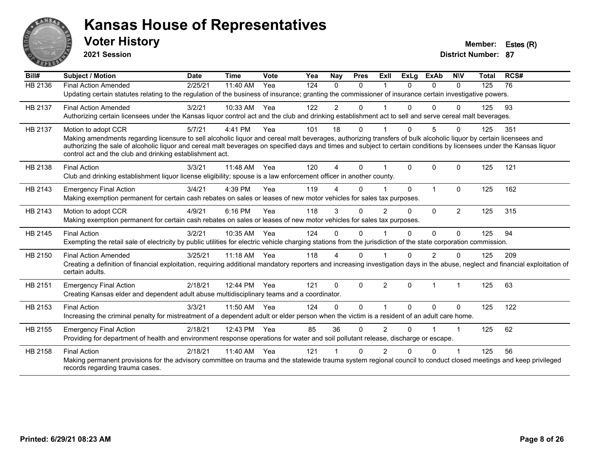

**2021 Session**

| Bill#   | Subject / Motion                                                                                                                                                                                                                                                                                                                           | <b>Date</b> | <b>Time</b> | Vote | Yea | Nay            | <b>Pres</b> | ExIl           | <b>ExLg</b> | <b>ExAb</b>    | <b>NIV</b>     | <b>Total</b> | RCS# |
|---------|--------------------------------------------------------------------------------------------------------------------------------------------------------------------------------------------------------------------------------------------------------------------------------------------------------------------------------------------|-------------|-------------|------|-----|----------------|-------------|----------------|-------------|----------------|----------------|--------------|------|
| HB 2136 | <b>Final Action Amended</b>                                                                                                                                                                                                                                                                                                                | 2/25/21     | 11:40 AM    | Yea  | 124 | $\Omega$       | $\Omega$    |                | $\Omega$    | $\Omega$       | $\Omega$       | 125          | 76   |
|         | Updating certain statutes relating to the regulation of the business of insurance; granting the commissioner of insurance certain investigative powers.                                                                                                                                                                                    |             |             |      |     |                |             |                |             |                |                |              |      |
| HB 2137 | <b>Final Action Amended</b>                                                                                                                                                                                                                                                                                                                | 3/2/21      | 10:33 AM    | Yea  | 122 | $\overline{c}$ | 0           |                |             | $\Omega$       | 0              | 125          | 93   |
|         | Authorizing certain licensees under the Kansas liquor control act and the club and drinking establishment act to sell and serve cereal malt beverages.                                                                                                                                                                                     |             |             |      |     |                |             |                |             |                |                |              |      |
| HB 2137 | Motion to adopt CCR                                                                                                                                                                                                                                                                                                                        | 5/7/21      | 4:41 PM     | Yea  | 101 | 18             | 0           |                | 0           | 5              | $\Omega$       | 125          | 351  |
|         | Making amendments regarding licensure to sell alcoholic liquor and cereal malt beverages, authorizing transfers of bulk alcoholic liquor by certain licensees and<br>authorizing the sale of alcoholic liquor and cereal malt beverages on specified days and times and subject to certain conditions by licensees under the Kansas liquor |             |             |      |     |                |             |                |             |                |                |              |      |
|         | control act and the club and drinking establishment act.                                                                                                                                                                                                                                                                                   |             |             |      |     |                |             |                |             |                |                |              |      |
| HB 2138 | <b>Final Action</b>                                                                                                                                                                                                                                                                                                                        | 3/3/21      | 11:48 AM    | Yea  | 120 | 4              | $\Omega$    |                | $\Omega$    | $\Omega$       | $\Omega$       | 125          | 121  |
|         | Club and drinking establishment liquor license eligibility; spouse is a law enforcement officer in another county.                                                                                                                                                                                                                         |             |             |      |     |                |             |                |             |                |                |              |      |
| HB 2143 | <b>Emergency Final Action</b>                                                                                                                                                                                                                                                                                                              | 3/4/21      | 4:39 PM     | Yea  | 119 |                | $\Omega$    |                | $\Omega$    | $\overline{1}$ | $\Omega$       | 125          | 162  |
|         | Making exemption permanent for certain cash rebates on sales or leases of new motor vehicles for sales tax purposes.                                                                                                                                                                                                                       |             |             |      |     |                |             |                |             |                |                |              |      |
| HB 2143 | Motion to adopt CCR                                                                                                                                                                                                                                                                                                                        | 4/9/21      | 6:16 PM     | Yea  | 118 | 3              | 0           | $\overline{2}$ | $\Omega$    | $\Omega$       | $\overline{2}$ | 125          | 315  |
|         | Making exemption permanent for certain cash rebates on sales or leases of new motor vehicles for sales tax purposes.                                                                                                                                                                                                                       |             |             |      |     |                |             |                |             |                |                |              |      |
| HB 2145 | <b>Final Action</b>                                                                                                                                                                                                                                                                                                                        | 3/2/21      | 10:35 AM    | Yea  | 124 | $\Omega$       | $\Omega$    |                | 0           | $\Omega$       | $\Omega$       | 125          | 94   |
|         | Exempting the retail sale of electricity by public utilities for electric vehicle charging stations from the jurisdiction of the state corporation commission.                                                                                                                                                                             |             |             |      |     |                |             |                |             |                |                |              |      |
| HB 2150 | <b>Final Action Amended</b>                                                                                                                                                                                                                                                                                                                | 3/25/21     | $11:18$ AM  | Yea  | 118 | 4              | 0           |                |             | 2              | 0              | 125          | 209  |
|         | Creating a definition of financial exploitation, requiring additional mandatory reporters and increasing investigation days in the abuse, neglect and financial exploitation of<br>certain adults.                                                                                                                                         |             |             |      |     |                |             |                |             |                |                |              |      |
| HB 2151 | <b>Emergency Final Action</b>                                                                                                                                                                                                                                                                                                              | 2/18/21     | 12:44 PM    | Yea  | 121 | $\mathbf{0}$   | $\Omega$    | 2              | $\Omega$    | $\overline{1}$ | 1              | 125          | 63   |
|         | Creating Kansas elder and dependent adult abuse multidisciplinary teams and a coordinator.                                                                                                                                                                                                                                                 |             |             |      |     |                |             |                |             |                |                |              |      |
| HB 2153 | <b>Final Action</b>                                                                                                                                                                                                                                                                                                                        | 3/3/21      | 11:50 AM    | Yea  | 124 | $\Omega$       | $\Omega$    |                | $\Omega$    | $\Omega$       | $\mathbf{0}$   | 125          | 122  |
|         | Increasing the criminal penalty for mistreatment of a dependent adult or elder person when the victim is a resident of an adult care home.                                                                                                                                                                                                 |             |             |      |     |                |             |                |             |                |                |              |      |
| HB 2155 | <b>Emergency Final Action</b>                                                                                                                                                                                                                                                                                                              | 2/18/21     | 12:43 PM    | Yea  | 85  | 36             | $\Omega$    | $\overline{2}$ | 0           |                | 1              | 125          | 62   |
|         | Providing for department of health and environment response operations for water and soil pollutant release, discharge or escape.                                                                                                                                                                                                          |             |             |      |     |                |             |                |             |                |                |              |      |
| HB 2158 | <b>Final Action</b>                                                                                                                                                                                                                                                                                                                        | 2/18/21     | 11:40 AM    | Yea  | 121 |                | 0           | 2              | n           | 0              |                | 125          | 56   |
|         | Making permanent provisions for the advisory committee on trauma and the statewide trauma system regional council to conduct closed meetings and keep privileged<br>records regarding trauma cases.                                                                                                                                        |             |             |      |     |                |             |                |             |                |                |              |      |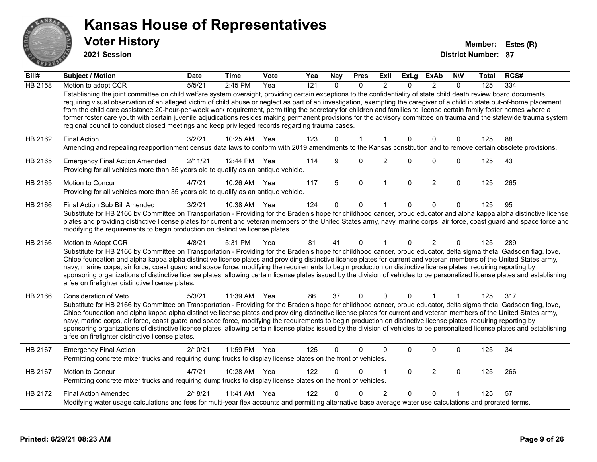

**2021 Session**

| $\overline{Bill#}$ | <b>Subject / Motion</b>                                                                                                                                                                                                                                                                                                                                                                                                                                                                                                                                                                                                                                                                                                                                                                               | <b>Date</b> | <b>Time</b> | <b>Vote</b> | Yea | Nay      | <b>Pres</b>  | Exll           | <b>ExLg</b>  | <b>ExAb</b>    | <b>NIV</b>   | Total | RCS# |
|--------------------|-------------------------------------------------------------------------------------------------------------------------------------------------------------------------------------------------------------------------------------------------------------------------------------------------------------------------------------------------------------------------------------------------------------------------------------------------------------------------------------------------------------------------------------------------------------------------------------------------------------------------------------------------------------------------------------------------------------------------------------------------------------------------------------------------------|-------------|-------------|-------------|-----|----------|--------------|----------------|--------------|----------------|--------------|-------|------|
| <b>HB 2158</b>     | Motion to adopt CCR                                                                                                                                                                                                                                                                                                                                                                                                                                                                                                                                                                                                                                                                                                                                                                                   | 5/5/21      | 2:45 PM     | Yea         | 121 | $\Omega$ | $\Omega$     | $\mathcal{P}$  | $\Omega$     | $\mathcal{P}$  | $\Omega$     | 125   | 334  |
|                    | Establishing the joint committee on child welfare system oversight, providing certain exceptions to the confidentiality of state child death review board documents,<br>requiring visual observation of an alleged victim of child abuse or neglect as part of an investigation, exempting the caregiver of a child in state out-of-home placement<br>from the child care assistance 20-hour-per-week work requirement, permitting the secretary for children and families to license certain family foster homes where a<br>former foster care youth with certain juvenile adjudications resides making permanent provisions for the advisory committee on trauma and the statewide trauma system<br>regional council to conduct closed meetings and keep privileged records regarding trauma cases. |             |             |             |     |          |              |                |              |                |              |       |      |
| HB 2162            | <b>Final Action</b>                                                                                                                                                                                                                                                                                                                                                                                                                                                                                                                                                                                                                                                                                                                                                                                   | 3/2/21      | 10:25 AM    | Yea         | 123 | $\Omega$ | $\mathbf{1}$ | $\mathbf{1}$   | $\Omega$     | $\mathbf{0}$   | $\mathbf{0}$ | 125   | 88   |
|                    | Amending and repealing reapportionment census data laws to conform with 2019 amendments to the Kansas constitution and to remove certain obsolete provisions.                                                                                                                                                                                                                                                                                                                                                                                                                                                                                                                                                                                                                                         |             |             |             |     |          |              |                |              |                |              |       |      |
| HB 2165            | <b>Emergency Final Action Amended</b><br>Providing for all vehicles more than 35 years old to qualify as an antique vehicle.                                                                                                                                                                                                                                                                                                                                                                                                                                                                                                                                                                                                                                                                          | 2/11/21     | 12:44 PM    | Yea         | 114 | 9        | $\Omega$     | $\overline{2}$ | $\Omega$     | $\mathbf 0$    | $\Omega$     | 125   | 43   |
| HB 2165            | Motion to Concur<br>Providing for all vehicles more than 35 years old to qualify as an antique vehicle.                                                                                                                                                                                                                                                                                                                                                                                                                                                                                                                                                                                                                                                                                               | 4/7/21      | 10:26 AM    | Yea         | 117 | 5        | $\mathbf 0$  | $\mathbf{1}$   | $\Omega$     | $\overline{2}$ | $\mathbf 0$  | 125   | 265  |
| HB 2166            | Final Action Sub Bill Amended                                                                                                                                                                                                                                                                                                                                                                                                                                                                                                                                                                                                                                                                                                                                                                         | 3/2/21      | 10:38 AM    | Yea         | 124 | $\Omega$ | 0            |                | $\Omega$     | $\Omega$       | $\Omega$     | 125   | 95   |
|                    | Substitute for HB 2166 by Committee on Transportation - Providing for the Braden's hope for childhood cancer, proud educator and alpha kappa alpha distinctive license<br>plates and providing distinctive license plates for current and veteran members of the United States army, navy, marine corps, air force, coast guard and space force and<br>modifying the requirements to begin production on distinctive license plates.                                                                                                                                                                                                                                                                                                                                                                  |             |             |             |     |          |              |                |              |                |              |       |      |
| HB 2166            | Motion to Adopt CCR                                                                                                                                                                                                                                                                                                                                                                                                                                                                                                                                                                                                                                                                                                                                                                                   | 4/8/21      | 5:31 PM     | Yea         | 81  | 41       | $\mathbf{0}$ |                | $\Omega$     | $\overline{2}$ | $\mathbf{0}$ | 125   | 289  |
|                    | Substitute for HB 2166 by Committee on Transportation - Providing for the Braden's hope for childhood cancer, proud educator, delta sigma theta, Gadsden flag, love,<br>Chloe foundation and alpha kappa alpha distinctive license plates and providing distinctive license plates for current and veteran members of the United States army,<br>navy, marine corps, air force, coast guard and space force, modifying the requirements to begin production on distinctive license plates, requiring reporting by<br>sponsoring organizations of distinctive license plates, allowing certain license plates issued by the division of vehicles to be personalized license plates and establishing<br>a fee on firefighter distinctive license plates.                                                |             |             |             |     |          |              |                |              |                |              |       |      |
| HB 2166            | <b>Consideration of Veto</b>                                                                                                                                                                                                                                                                                                                                                                                                                                                                                                                                                                                                                                                                                                                                                                          | 5/3/21      | 11:39 AM    | Yea         | 86  | 37       | $\Omega$     | $\Omega$       | $\Omega$     |                | 1            | 125   | 317  |
|                    | Substitute for HB 2166 by Committee on Transportation - Providing for the Braden's hope for childhood cancer, proud educator, delta sigma theta, Gadsden flag, love,<br>Chloe foundation and alpha kappa alpha distinctive license plates and providing distinctive license plates for current and veteran members of the United States army,<br>navy, marine corps, air force, coast guard and space force, modifying the requirements to begin production on distinctive license plates, requiring reporting by<br>sponsoring organizations of distinctive license plates, allowing certain license plates issued by the division of vehicles to be personalized license plates and establishing<br>a fee on firefighter distinctive license plates.                                                |             |             |             |     |          |              |                |              |                |              |       |      |
| HB 2167            | <b>Emergency Final Action</b><br>Permitting concrete mixer trucks and requiring dump trucks to display license plates on the front of vehicles.                                                                                                                                                                                                                                                                                                                                                                                                                                                                                                                                                                                                                                                       | 2/10/21     | 11:59 PM    | Yea         | 125 | 0        | 0            | 0              | $\mathbf{0}$ | $\pmb{0}$      | 0            | 125   | 34   |
| HB 2167            | Motion to Concur<br>Permitting concrete mixer trucks and requiring dump trucks to display license plates on the front of vehicles.                                                                                                                                                                                                                                                                                                                                                                                                                                                                                                                                                                                                                                                                    | 4/7/21      | 10:28 AM    | Yea         | 122 | 0        | 0            | 1              | $\mathbf{0}$ | $\overline{c}$ | $\mathbf 0$  | 125   | 266  |
| HB 2172            | <b>Final Action Amended</b>                                                                                                                                                                                                                                                                                                                                                                                                                                                                                                                                                                                                                                                                                                                                                                           | 2/18/21     | 11:41 AM    | Yea         | 122 | U        | 0            | $\overline{2}$ | $\Omega$     | $\Omega$       |              | 125   | 57   |
|                    | Modifying water usage calculations and fees for multi-year flex accounts and permitting alternative base average water use calculations and prorated terms.                                                                                                                                                                                                                                                                                                                                                                                                                                                                                                                                                                                                                                           |             |             |             |     |          |              |                |              |                |              |       |      |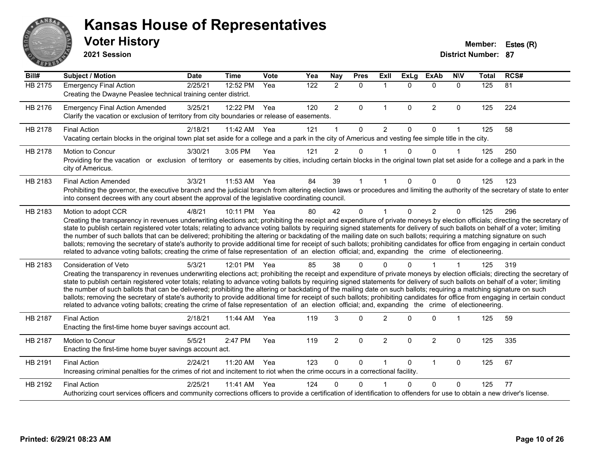

#### **Voter History Member: Estes (R) Kansas House of Representatives**

**2021 Session**

| Bill#   | <b>Subject / Motion</b>                                                                                                                                                                                                                                                                                                                                                                                                                                                                                                                                                                                                                                                                                                                                                                                                                                                                                    | <b>Date</b> | <b>Time</b> | <b>Vote</b> | Yea              | <b>Nay</b>     | <b>Pres</b> | ExIl           | <b>ExLg</b>  | <b>ExAb</b>    | <b>N\V</b>   | <b>Total</b> | RCS# |
|---------|------------------------------------------------------------------------------------------------------------------------------------------------------------------------------------------------------------------------------------------------------------------------------------------------------------------------------------------------------------------------------------------------------------------------------------------------------------------------------------------------------------------------------------------------------------------------------------------------------------------------------------------------------------------------------------------------------------------------------------------------------------------------------------------------------------------------------------------------------------------------------------------------------------|-------------|-------------|-------------|------------------|----------------|-------------|----------------|--------------|----------------|--------------|--------------|------|
| HB 2175 | <b>Emergency Final Action</b><br>Creating the Dwayne Peaslee technical training center district.                                                                                                                                                                                                                                                                                                                                                                                                                                                                                                                                                                                                                                                                                                                                                                                                           | 2/25/21     | 12:52 PM    | Yea         | $\overline{122}$ | $\overline{2}$ | $\Omega$    | $\mathbf 1$    | $\mathbf{0}$ | $\mathbf{0}$   | $\mathbf{0}$ | 125          | 81   |
| HB 2176 | <b>Emergency Final Action Amended</b><br>Clarify the vacation or exclusion of territory from city boundaries or release of easements.                                                                                                                                                                                                                                                                                                                                                                                                                                                                                                                                                                                                                                                                                                                                                                      | 3/25/21     | 12:22 PM    | Yea         | 120              | $\overline{2}$ | 0           | $\mathbf 1$    | $\mathbf 0$  | $\overline{2}$ | $\mathbf 0$  | 125          | 224  |
| HB 2178 | <b>Final Action</b><br>Vacating certain blocks in the original town plat set aside for a college and a park in the city of Americus and vesting fee simple title in the city.                                                                                                                                                                                                                                                                                                                                                                                                                                                                                                                                                                                                                                                                                                                              | 2/18/21     | 11:42 AM    | Yea         | 121              |                | $\Omega$    | $\overline{2}$ | $\Omega$     | $\Omega$       | 1            | 125          | 58   |
| HB 2178 | <b>Motion to Concur</b><br>Providing for the vacation or exclusion of territory or easements by cities, including certain blocks in the original town plat set aside for a college and a park in the<br>city of Americus.                                                                                                                                                                                                                                                                                                                                                                                                                                                                                                                                                                                                                                                                                  | 3/30/21     | 3:05 PM     | Yea         | 121              | $\overline{2}$ | 0           |                | 0            | $\Omega$       |              | 125          | 250  |
| HB 2183 | <b>Final Action Amended</b><br>Prohibiting the governor, the executive branch and the judicial branch from altering election laws or procedures and limiting the authority of the secretary of state to enter<br>into consent decrees with any court absent the approval of the legislative coordinating council.                                                                                                                                                                                                                                                                                                                                                                                                                                                                                                                                                                                          | 3/3/21      | 11:53 AM    | Yea         | 84               | 39             |             |                | $\Omega$     | $\Omega$       | $\Omega$     | 125          | 123  |
| HB 2183 | Motion to adopt CCR<br>Creating the transparency in revenues underwriting elections act; prohibiting the receipt and expenditure of private moneys by election officials; directing the secretary of<br>state to publish certain registered voter totals; relating to advance voting ballots by requiring signed statements for delivery of such ballots on behalf of a voter; limiting<br>the number of such ballots that can be delivered; prohibiting the altering or backdating of the mailing date on such ballots; requiring a matching signature on such<br>ballots; removing the secretary of state's authority to provide additional time for receipt of such ballots; prohibiting candidates for office from engaging in certain conduct<br>related to advance voting ballots; creating the crime of false representation of an election official; and, expanding the crime of electioneering.   | 4/8/21      | 10:11 PM    | Yea         | 80               | 42             | $\Omega$    |                | $\Omega$     | $\overline{2}$ | $\Omega$     | 125          | 296  |
| HB 2183 | Consideration of Veto<br>Creating the transparency in revenues underwriting elections act; prohibiting the receipt and expenditure of private moneys by election officials; directing the secretary of<br>state to publish certain registered voter totals; relating to advance voting ballots by requiring signed statements for delivery of such ballots on behalf of a voter; limiting<br>the number of such ballots that can be delivered; prohibiting the altering or backdating of the mailing date on such ballots; requiring a matching signature on such<br>ballots; removing the secretary of state's authority to provide additional time for receipt of such ballots; prohibiting candidates for office from engaging in certain conduct<br>related to advance voting ballots; creating the crime of false representation of an election official; and, expanding the crime of electioneering. | 5/3/21      | 12:01 PM    | Yea         | 85               | 38             | 0           |                |              |                |              | 125          | 319  |
| HB 2187 | <b>Final Action</b><br>Enacting the first-time home buyer savings account act.                                                                                                                                                                                                                                                                                                                                                                                                                                                                                                                                                                                                                                                                                                                                                                                                                             | 2/18/21     | 11:44 AM    | Yea         | 119              | 3              | $\Omega$    | $\overline{2}$ | $\Omega$     | $\Omega$       |              | 125          | 59   |
| HB 2187 | Motion to Concur<br>Enacting the first-time home buyer savings account act.                                                                                                                                                                                                                                                                                                                                                                                                                                                                                                                                                                                                                                                                                                                                                                                                                                | 5/5/21      | 2:47 PM     | Yea         | 119              | $\overline{2}$ | 0           | $\overline{2}$ | $\Omega$     | $\overline{c}$ | 0            | 125          | 335  |
| HB 2191 | <b>Final Action</b><br>Increasing criminal penalties for the crimes of riot and incitement to riot when the crime occurs in a correctional facility.                                                                                                                                                                                                                                                                                                                                                                                                                                                                                                                                                                                                                                                                                                                                                       | 2/24/21     | 11:20 AM    | Yea         | 123              | 0              | 0           |                | $\Omega$     | $\mathbf{1}$   | $\mathbf 0$  | 125          | 67   |
| HB 2192 | <b>Final Action</b><br>Authorizing court services officers and community corrections officers to provide a certification of identification to offenders for use to obtain a new driver's license.                                                                                                                                                                                                                                                                                                                                                                                                                                                                                                                                                                                                                                                                                                          | 2/25/21     | 11:41 AM    | Yea         | 124              | U              | 0           |                | n            | $\Omega$       | $\Omega$     | 125          | 77   |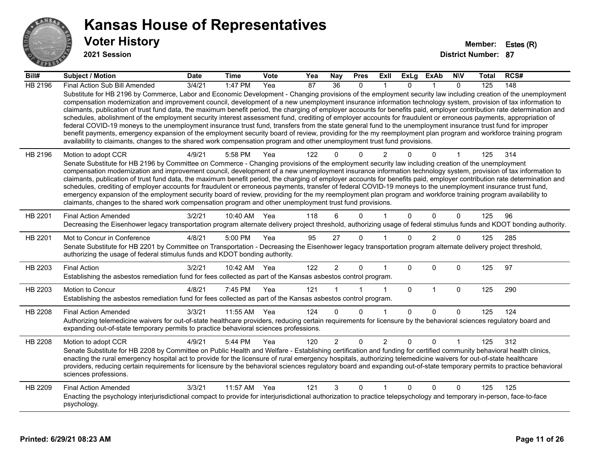

**2021 Session**

| Bill#   | <b>Subject / Motion</b>                                                                                                                                                                                                                                                                                                                                                                                                                                                                                                                                                                                                                                                                                                                                                                                                                                                                                                                                                                                                                                                                                                                           | <b>Date</b>     | <b>Time</b>  | <b>Vote</b> | Yea             | Nay             | <b>Pres</b> | ExII           | <b>ExLg</b>  | ExAb           | <b>NIV</b>   | Total | RCS# |
|---------|---------------------------------------------------------------------------------------------------------------------------------------------------------------------------------------------------------------------------------------------------------------------------------------------------------------------------------------------------------------------------------------------------------------------------------------------------------------------------------------------------------------------------------------------------------------------------------------------------------------------------------------------------------------------------------------------------------------------------------------------------------------------------------------------------------------------------------------------------------------------------------------------------------------------------------------------------------------------------------------------------------------------------------------------------------------------------------------------------------------------------------------------------|-----------------|--------------|-------------|-----------------|-----------------|-------------|----------------|--------------|----------------|--------------|-------|------|
| HB 2196 | Final Action Sub Bill Amended                                                                                                                                                                                                                                                                                                                                                                                                                                                                                                                                                                                                                                                                                                                                                                                                                                                                                                                                                                                                                                                                                                                     | $\sqrt{3}/4/21$ | 1:47 PM      | Yea         | $\overline{87}$ | $\overline{36}$ | $\Omega$    |                | $\Omega$     |                | $\mathbf{0}$ | 125   | 148  |
|         | Substitute for HB 2196 by Commerce, Labor and Economic Development - Changing provisions of the employment security law including creation of the unemployment<br>compensation modernization and improvement council, development of a new unemployment insurance information technology system, provision of tax information to<br>claimants, publication of trust fund data, the maximum benefit period, the charging of employer accounts for benefits paid, employer contribution rate determination and<br>schedules, abolishment of the employment security interest assessment fund, crediting of employer accounts for fraudulent or erroneous payments, appropriation of<br>federal COVID-19 moneys to the unemployment insurance trust fund, transfers from the state general fund to the unemployment insurance trust fund for improper<br>benefit payments, emergency expansion of the employment security board of review, providing for the my reemployment plan program and workforce training program<br>availability to claimants, changes to the shared work compensation program and other unemployment trust fund provisions. |                 |              |             |                 |                 |             |                |              |                |              |       |      |
| HB 2196 | Motion to adopt CCR<br>Senate Substitute for HB 2196 by Committee on Commerce - Changing provisions of the employment security law including creation of the unemployment<br>compensation modernization and improvement council, development of a new unemployment insurance information technology system, provision of tax information to<br>claimants, publication of trust fund data, the maximum benefit period, the charging of employer accounts for benefits paid, employer contribution rate determination and<br>schedules, crediting of employer accounts for fraudulent or erroneous payments, transfer of federal COVID-19 moneys to the unemployment insurance trust fund,<br>emergency expansion of the employment security board of review, providing for the my reemployment plan program and workforce training program availability to                                                                                                                                                                                                                                                                                         | 4/9/21          | 5:58 PM      | Yea         | 122             |                 | $\Omega$    | 2              |              | $\Omega$       |              | 125   | 314  |
|         | claimants, changes to the shared work compensation program and other unemployment trust fund provisions.                                                                                                                                                                                                                                                                                                                                                                                                                                                                                                                                                                                                                                                                                                                                                                                                                                                                                                                                                                                                                                          |                 |              |             |                 |                 |             |                |              |                |              |       |      |
| HB 2201 | <b>Final Action Amended</b><br>Decreasing the Eisenhower legacy transportation program alternate delivery project threshold, authorizing usage of federal stimulus funds and KDOT bonding authority.                                                                                                                                                                                                                                                                                                                                                                                                                                                                                                                                                                                                                                                                                                                                                                                                                                                                                                                                              | 3/2/21          | 10:40 AM     | Yea         | 118             |                 | $\Omega$    |                | $\Omega$     | $\Omega$       | $\Omega$     | 125   | 96   |
| HB 2201 | Mot to Concur in Conference<br>Senate Substitute for HB 2201 by Committee on Transportation - Decreasing the Eisenhower legacy transportation program alternate delivery project threshold,<br>authorizing the usage of federal stimulus funds and KDOT bonding authority.                                                                                                                                                                                                                                                                                                                                                                                                                                                                                                                                                                                                                                                                                                                                                                                                                                                                        | 4/8/21          | 5:00 PM      | Yea         | 95              | 27              | $\Omega$    |                | $\Omega$     | $\overline{2}$ | $\Omega$     | 125   | 285  |
| HB 2203 | <b>Final Action</b><br>Establishing the asbestos remediation fund for fees collected as part of the Kansas asbestos control program.                                                                                                                                                                                                                                                                                                                                                                                                                                                                                                                                                                                                                                                                                                                                                                                                                                                                                                                                                                                                              | 3/2/21          | 10:42 AM Yea |             | 122             | $\overline{2}$  | $\Omega$    |                | $\Omega$     | $\Omega$       | $\Omega$     | 125   | 97   |
| HB 2203 | Motion to Concur<br>Establishing the asbestos remediation fund for fees collected as part of the Kansas asbestos control program.                                                                                                                                                                                                                                                                                                                                                                                                                                                                                                                                                                                                                                                                                                                                                                                                                                                                                                                                                                                                                 | 4/8/21          | 7:45 PM      | Yea         | 121             |                 |             | $\mathbf 1$    | $\mathbf{0}$ | $\mathbf{1}$   | $\mathbf 0$  | 125   | 290  |
| HB 2208 | <b>Final Action Amended</b><br>Authorizing telemedicine waivers for out-of-state healthcare providers, reducing certain requirements for licensure by the behavioral sciences regulatory board and<br>expanding out-of-state temporary permits to practice behavioral sciences professions.                                                                                                                                                                                                                                                                                                                                                                                                                                                                                                                                                                                                                                                                                                                                                                                                                                                       | 3/3/21          | 11:55 AM     | Yea         | 124             | <sup>n</sup>    | $\Omega$    | 1              | $\Omega$     | $\Omega$       | $\Omega$     | 125   | 124  |
| HB 2208 | Motion to adopt CCR<br>Senate Substitute for HB 2208 by Committee on Public Health and Welfare - Establishing certification and funding for certified community behavioral health clinics,<br>enacting the rural emergency hospital act to provide for the licensure of rural emergency hospitals, authorizing telemedicine waivers for out-of-state healthcare<br>providers, reducing certain requirements for licensure by the behavioral sciences regulatory board and expanding out-of-state temporary permits to practice behavioral<br>sciences professions.                                                                                                                                                                                                                                                                                                                                                                                                                                                                                                                                                                                | 4/9/21          | 5:44 PM      | Yea         | 120             | $\overline{2}$  | $\Omega$    | $\overline{2}$ | $\Omega$     | $\Omega$       |              | 125   | 312  |
| HB 2209 | <b>Final Action Amended</b><br>Enacting the psychology interjurisdictional compact to provide for interjurisdictional authorization to practice telepsychology and temporary in-person, face-to-face<br>psychology.                                                                                                                                                                                                                                                                                                                                                                                                                                                                                                                                                                                                                                                                                                                                                                                                                                                                                                                               | 3/3/21          | 11:57 AM     | Yea         | 121             | 3               | $\Omega$    |                | $\Omega$     | $\Omega$       | $\Omega$     | 125   | 125  |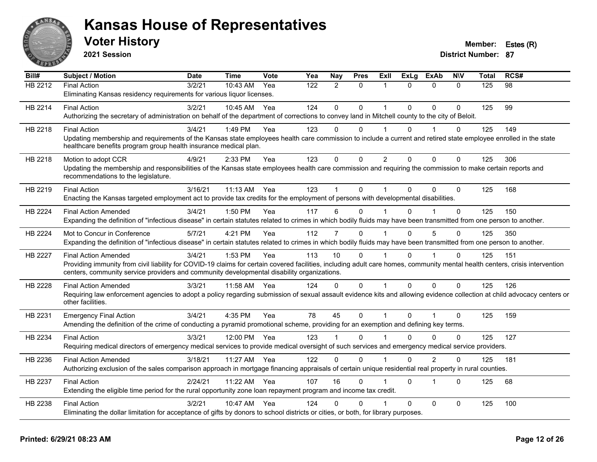![](_page_11_Picture_0.jpeg)

**2021 Session**

| Bill#          | <b>Subject / Motion</b>                                                                                                                                                      | <b>Date</b> | <b>Time</b>  | <b>Vote</b> | Yea | Nay            | <b>Pres</b>  | Exll           | <b>ExLg</b> | <b>ExAb</b>    | <b>NIV</b>   | Total | RCS# |
|----------------|------------------------------------------------------------------------------------------------------------------------------------------------------------------------------|-------------|--------------|-------------|-----|----------------|--------------|----------------|-------------|----------------|--------------|-------|------|
| HB 2212        | <b>Final Action</b>                                                                                                                                                          | 3/2/21      | 10:43 AM     | Yea         | 122 | $\overline{2}$ | $\mathbf{0}$ | 1              | $\Omega$    | $\Omega$       | $\Omega$     | 125   | 98   |
|                | Eliminating Kansas residency requirements for various liquor licenses.                                                                                                       |             |              |             |     |                |              |                |             |                |              |       |      |
| HB 2214        | <b>Final Action</b>                                                                                                                                                          | 3/2/21      | 10:45 AM     | Yea         | 124 | $\mathbf 0$    | $\mathbf 0$  | 1              | $\Omega$    | $\Omega$       | $\Omega$     | 125   | 99   |
|                | Authorizing the secretary of administration on behalf of the department of corrections to convey land in Mitchell county to the city of Beloit.                              |             |              |             |     |                |              |                |             |                |              |       |      |
| HB 2218        | <b>Final Action</b>                                                                                                                                                          | 3/4/21      | 1:49 PM      | Yea         | 123 | $\Omega$       | $\Omega$     |                | $\Omega$    |                | 0            | 125   | 149  |
|                | Updating membership and requirements of the Kansas state employees health care commission to include a current and retired state employee enrolled in the state              |             |              |             |     |                |              |                |             |                |              |       |      |
|                | healthcare benefits program group health insurance medical plan.                                                                                                             |             |              |             |     |                |              |                |             |                |              |       |      |
| HB 2218        | Motion to adopt CCR                                                                                                                                                          | 4/9/21      | 2:33 PM      | Yea         | 123 | $\mathbf 0$    | $\mathbf 0$  | $\overline{2}$ | $\Omega$    | $\Omega$       | $\mathbf 0$  | 125   | 306  |
|                | Updating the membership and responsibilities of the Kansas state employees health care commission and requiring the commission to make certain reports and                   |             |              |             |     |                |              |                |             |                |              |       |      |
|                | recommendations to the legislature.                                                                                                                                          |             |              |             |     |                |              |                |             |                |              |       |      |
| HB 2219        | <b>Final Action</b>                                                                                                                                                          | 3/16/21     | 11:13 AM Yea |             | 123 |                | $\mathbf 0$  |                | $\Omega$    | $\Omega$       | $\Omega$     | 125   | 168  |
|                | Enacting the Kansas targeted employment act to provide tax credits for the employment of persons with developmental disabilities.                                            |             |              |             |     |                |              |                |             |                |              |       |      |
| <b>HB 2224</b> | <b>Final Action Amended</b>                                                                                                                                                  | 3/4/21      | 1:50 PM      | Yea         | 117 | 6              | $\Omega$     |                | U           |                | $\Omega$     | 125   | 150  |
|                | Expanding the definition of "infectious disease" in certain statutes related to crimes in which bodily fluids may have been transmitted from one person to another.          |             |              |             |     |                |              |                |             |                |              |       |      |
| HB 2224        | Mot to Concur in Conference                                                                                                                                                  | 5/7/21      | 4:21 PM      | Yea         | 112 | $\overline{7}$ | $\Omega$     |                | $\Omega$    | 5              | $\Omega$     | 125   | 350  |
|                | Expanding the definition of "infectious disease" in certain statutes related to crimes in which bodily fluids may have been transmitted from one person to another.          |             |              |             |     |                |              |                |             |                |              |       |      |
| <b>HB 2227</b> | <b>Final Action Amended</b>                                                                                                                                                  | 3/4/21      | 1:53 PM      | Yea         | 113 | 10             | $\Omega$     |                | $\Omega$    |                | $\mathbf{0}$ | 125   | 151  |
|                | Providing immunity from civil liability for COVID-19 claims for certain covered facilities, including adult care homes, community mental health centers, crisis intervention |             |              |             |     |                |              |                |             |                |              |       |      |
|                | centers, community service providers and community developmental disability organizations.                                                                                   |             |              |             |     |                |              |                |             |                |              |       |      |
| <b>HB 2228</b> | <b>Final Action Amended</b>                                                                                                                                                  | 3/3/21      | 11:58 AM     | Yea         | 124 | $\Omega$       | $\mathbf{0}$ |                | $\Omega$    | $\mathbf 0$    | $\Omega$     | 125   | 126  |
|                | Requiring law enforcement agencies to adopt a policy regarding submission of sexual assault evidence kits and allowing evidence collection at child advocacy centers or      |             |              |             |     |                |              |                |             |                |              |       |      |
|                | other facilities.                                                                                                                                                            |             |              |             |     |                |              |                |             |                |              |       |      |
| HB 2231        | <b>Emergency Final Action</b>                                                                                                                                                | 3/4/21      | 4:35 PM      | Yea         | 78  | 45             | $\mathbf 0$  | 1              | $\Omega$    |                | $\Omega$     | 125   | 159  |
|                | Amending the definition of the crime of conducting a pyramid promotional scheme, providing for an exemption and defining key terms.                                          |             |              |             |     |                |              |                |             |                |              |       |      |
| HB 2234        | <b>Final Action</b>                                                                                                                                                          | 3/3/21      | 12:00 PM     | Yea         | 123 |                | $\Omega$     |                | $\Omega$    | $\Omega$       | $\Omega$     | 125   | 127  |
|                | Requiring medical directors of emergency medical services to provide medical oversight of such services and emergency medical service providers.                             |             |              |             |     |                |              |                |             |                |              |       |      |
| HB 2236        | <b>Final Action Amended</b>                                                                                                                                                  | 3/18/21     | 11:27 AM     | Yea         | 122 | $\Omega$       | $\Omega$     |                | $\Omega$    | $\overline{2}$ | 0            | 125   | 181  |
|                | Authorizing exclusion of the sales comparison approach in mortgage financing appraisals of certain unique residential real property in rural counties.                       |             |              |             |     |                |              |                |             |                |              |       |      |
|                |                                                                                                                                                                              |             |              |             |     |                |              |                |             |                |              |       |      |
| HB 2237        | <b>Final Action</b>                                                                                                                                                          | 2/24/21     | 11:22 AM     | Yea         | 107 | 16             | $\mathbf 0$  |                | $\Omega$    | 1              | $\Omega$     | 125   | 68   |
|                | Extending the eligible time period for the rural opportunity zone loan repayment program and income tax credit.                                                              |             |              |             |     |                |              |                |             |                |              |       |      |
| HB 2238        | <b>Final Action</b>                                                                                                                                                          | 3/2/21      | 10:47 AM     | Yea         | 124 | U              | 0            |                | $\Omega$    | $\mathbf{0}$   | $\Omega$     | 125   | 100  |
|                | Eliminating the dollar limitation for acceptance of gifts by donors to school districts or cities, or both, for library purposes.                                            |             |              |             |     |                |              |                |             |                |              |       |      |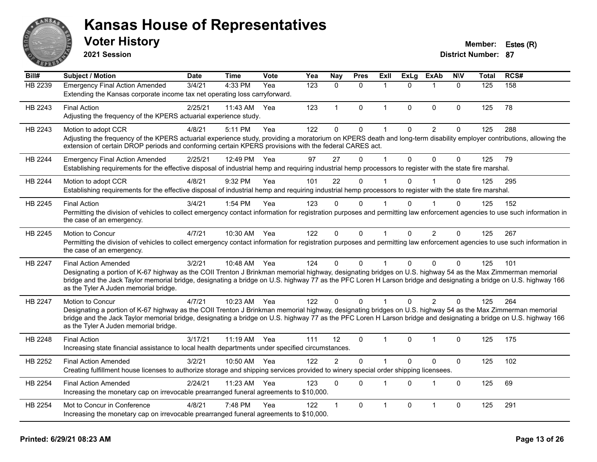![](_page_12_Picture_0.jpeg)

**2021 Session**

#### **Voter History Member: Estes (R)**

| Bill#          | <b>Subject / Motion</b>                                                                                                                                                                                                                                                                                                                                                                                  | <b>Date</b> | <b>Time</b>  | Vote | Yea              | <b>Nay</b>     | <b>Pres</b>  | ExIl         | <b>ExLg</b> | <b>ExAb</b>    | <b>NIV</b>   | <b>Total</b> | RCS# |
|----------------|----------------------------------------------------------------------------------------------------------------------------------------------------------------------------------------------------------------------------------------------------------------------------------------------------------------------------------------------------------------------------------------------------------|-------------|--------------|------|------------------|----------------|--------------|--------------|-------------|----------------|--------------|--------------|------|
| HB 2239        | <b>Emergency Final Action Amended</b><br>Extending the Kansas corporate income tax net operating loss carryforward.                                                                                                                                                                                                                                                                                      | 3/4/21      | 4:33 PM      | Yea  | $\overline{123}$ | $\mathbf{0}$   | $\mathbf{0}$ | 1            | $\Omega$    | $\mathbf{1}$   | $\mathbf{0}$ | 125          | 158  |
| HB 2243        | <b>Final Action</b><br>Adjusting the frequency of the KPERS actuarial experience study.                                                                                                                                                                                                                                                                                                                  | 2/25/21     | 11:43 AM     | Yea  | 123              | $\mathbf{1}$   | $\mathbf{0}$ | $\mathbf{1}$ | $\Omega$    | $\mathbf{0}$   | $\Omega$     | 125          | 78   |
| HB 2243        | Motion to adopt CCR<br>Adjusting the frequency of the KPERS actuarial experience study, providing a moratorium on KPERS death and long-term disability employer contributions, allowing the<br>extension of certain DROP periods and conforming certain KPERS provisions with the federal CARES act.                                                                                                     | 4/8/21      | 5:11 PM      | Yea  | 122              | $\Omega$       | $\mathbf 0$  | 1            | $\Omega$    | $\overline{2}$ | 0            | 125          | 288  |
| <b>HB 2244</b> | <b>Emergency Final Action Amended</b><br>Establishing requirements for the effective disposal of industrial hemp and requiring industrial hemp processors to register with the state fire marshal.                                                                                                                                                                                                       | 2/25/21     | 12:49 PM     | Yea  | 97               | 27             | $\mathbf 0$  | 1            | $\Omega$    | $\mathbf 0$    | 0            | 125          | 79   |
| HB 2244        | Motion to adopt CCR<br>Establishing requirements for the effective disposal of industrial hemp and requiring industrial hemp processors to register with the state fire marshal.                                                                                                                                                                                                                         | 4/8/21      | 9:32 PM      | Yea  | 101              | 22             | $\Omega$     | 1            | $\Omega$    |                | $\Omega$     | 125          | 295  |
| HB 2245        | <b>Final Action</b><br>Permitting the division of vehicles to collect emergency contact information for registration purposes and permitting law enforcement agencies to use such information in<br>the case of an emergency.                                                                                                                                                                            | 3/4/21      | 1:54 PM      | Yea  | 123              | $\Omega$       | $\Omega$     |              | $\Omega$    |                | $\Omega$     | 125          | 152  |
| HB 2245        | Motion to Concur<br>Permitting the division of vehicles to collect emergency contact information for registration purposes and permitting law enforcement agencies to use such information in<br>the case of an emergency.                                                                                                                                                                               | 4/7/21      | 10:30 AM     | Yea  | 122              | $\mathbf{0}$   | $\mathbf{0}$ | $\mathbf{1}$ | $\Omega$    | $\overline{2}$ | $\Omega$     | 125          | 267  |
| HB 2247        | <b>Final Action Amended</b><br>Designating a portion of K-67 highway as the COII Trenton J Brinkman memorial highway, designating bridges on U.S. highway 54 as the Max Zimmerman memorial<br>bridge and the Jack Taylor memorial bridge, designating a bridge on U.S. highway 77 as the PFC Loren H Larson bridge and designating a bridge on U.S. highway 166<br>as the Tyler A Juden memorial bridge. | 3/2/21      | 10:48 AM Yea |      | 124              | $\Omega$       | $\mathbf{0}$ |              | $\Omega$    | $\mathbf{0}$   | $\Omega$     | 125          | 101  |
| HB 2247        | Motion to Concur<br>Designating a portion of K-67 highway as the COII Trenton J Brinkman memorial highway, designating bridges on U.S. highway 54 as the Max Zimmerman memorial<br>bridge and the Jack Taylor memorial bridge, designating a bridge on U.S. highway 77 as the PFC Loren H Larson bridge and designating a bridge on U.S. highway 166<br>as the Tyler A Juden memorial bridge.            | 4/7/21      | 10:23 AM Yea |      | 122              | $\Omega$       | $\Omega$     |              | $\Omega$    | 2              | $\Omega$     | 125          | 264  |
| HB 2248        | <b>Final Action</b><br>Increasing state financial assistance to local health departments under specified circumstances.                                                                                                                                                                                                                                                                                  | 3/17/21     | 11:19 AM Yea |      | 111              | 12             | $\Omega$     | 1            | $\Omega$    | $\mathbf 1$    | $\Omega$     | 125          | 175  |
| HB 2252        | <b>Final Action Amended</b><br>Creating fulfillment house licenses to authorize storage and shipping services provided to winery special order shipping licensees.                                                                                                                                                                                                                                       | 3/2/21      | 10:50 AM     | Yea  | 122              | $\overline{2}$ | $\Omega$     | 1            | $\Omega$    | $\mathbf{0}$   | $\mathbf 0$  | 125          | 102  |
| HB 2254        | <b>Final Action Amended</b><br>Increasing the monetary cap on irrevocable prearranged funeral agreements to \$10,000.                                                                                                                                                                                                                                                                                    | 2/24/21     | 11:23 AM     | Yea  | 123              | $\mathbf{0}$   | $\mathbf{0}$ | 1            | $\Omega$    | $\mathbf{1}$   | $\Omega$     | 125          | 69   |
| HB 2254        | Mot to Concur in Conference<br>Increasing the monetary cap on irrevocable prearranged funeral agreements to \$10,000.                                                                                                                                                                                                                                                                                    | 4/8/21      | 7:48 PM      | Yea  | 122              |                | $\mathbf{0}$ | 1            | $\Omega$    | $\overline{1}$ | 0            | 125          | 291  |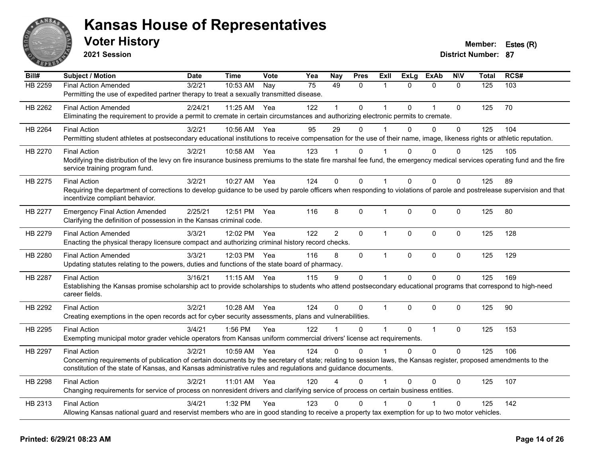![](_page_13_Picture_0.jpeg)

**2021 Session**

| Bill#   | <b>Subject / Motion</b>                                                                                                                                                                                                                                                                                 | <b>Date</b> | <b>Time</b>  | Vote | Yea | Nay            | <b>Pres</b>  | Exll         | <b>ExLg</b> | <b>ExAb</b>    | <b>NIV</b>  | <b>Total</b> | RCS# |
|---------|---------------------------------------------------------------------------------------------------------------------------------------------------------------------------------------------------------------------------------------------------------------------------------------------------------|-------------|--------------|------|-----|----------------|--------------|--------------|-------------|----------------|-------------|--------------|------|
| HB 2259 | <b>Final Action Amended</b><br>Permitting the use of expedited partner therapy to treat a sexually transmitted disease.                                                                                                                                                                                 | 3/2/21      | 10:53 AM     | Nay  | 75  | 49             | $\mathbf{0}$ | 1            | $\Omega$    | $\Omega$       | $\Omega$    | 125          | 103  |
| HB 2262 | <b>Final Action Amended</b><br>Eliminating the requirement to provide a permit to cremate in certain circumstances and authorizing electronic permits to cremate.                                                                                                                                       | 2/24/21     | 11:25 AM Yea |      | 122 |                | $\Omega$     |              | $\Omega$    | $\overline{1}$ | $\Omega$    | 125          | 70   |
| HB 2264 | <b>Final Action</b><br>Permitting student athletes at postsecondary educational institutions to receive compensation for the use of their name, image, likeness rights or athletic reputation.                                                                                                          | 3/2/21      | 10:56 AM     | Yea  | 95  | 29             | $\Omega$     |              | $\Omega$    | $\Omega$       | $\Omega$    | 125          | 104  |
| HB 2270 | <b>Final Action</b><br>Modifying the distribution of the levy on fire insurance business premiums to the state fire marshal fee fund, the emergency medical services operating fund and the fire<br>service training program fund.                                                                      | 3/2/21      | 10:58 AM Yea |      | 123 |                | $\Omega$     |              | $\Omega$    | $\Omega$       | $\Omega$    | 125          | 105  |
| HB 2275 | <b>Final Action</b><br>Requiring the department of corrections to develop guidance to be used by parole officers when responding to violations of parole and postrelease supervision and that<br>incentivize compliant behavior.                                                                        | 3/2/21      | 10:27 AM     | Yea  | 124 | $\Omega$       | $\Omega$     |              | $\Omega$    | $\mathbf{0}$   | $\Omega$    | 125          | 89   |
| HB 2277 | <b>Emergency Final Action Amended</b><br>Clarifying the definition of possession in the Kansas criminal code.                                                                                                                                                                                           | 2/25/21     | 12:51 PM     | Yea  | 116 | 8              | $\Omega$     | 1            | $\Omega$    | $\mathbf{0}$   | $\Omega$    | 125          | 80   |
| HB 2279 | <b>Final Action Amended</b><br>Enacting the physical therapy licensure compact and authorizing criminal history record checks.                                                                                                                                                                          | 3/3/21      | 12:02 PM     | Yea  | 122 | $\overline{2}$ | $\mathbf{0}$ | $\mathbf{1}$ | $\Omega$    | $\mathbf{0}$   | $\Omega$    | 125          | 128  |
| HB 2280 | <b>Final Action Amended</b><br>Updating statutes relating to the powers, duties and functions of the state board of pharmacy.                                                                                                                                                                           | 3/3/21      | 12:03 PM     | Yea  | 116 | 8              | $\mathbf{0}$ | $\mathbf 1$  | $\Omega$    | $\mathbf 0$    | $\mathbf 0$ | 125          | 129  |
| HB 2287 | <b>Final Action</b><br>Establishing the Kansas promise scholarship act to provide scholarships to students who attend postsecondary educational programs that correspond to high-need<br>career fields.                                                                                                 | 3/16/21     | 11:15 AM     | Yea  | 115 | 9              | $\mathbf{0}$ | 1            | $\Omega$    | $\Omega$       | $\Omega$    | 125          | 169  |
| HB 2292 | <b>Final Action</b><br>Creating exemptions in the open records act for cyber security assessments, plans and vulnerabilities.                                                                                                                                                                           | 3/2/21      | 10:28 AM     | Yea  | 124 | $\Omega$       | $\mathbf 0$  | 1            | $\Omega$    | $\mathbf{0}$   | $\Omega$    | 125          | 90   |
| HB 2295 | <b>Final Action</b><br>Exempting municipal motor grader vehicle operators from Kansas uniform commercial drivers' license act requirements.                                                                                                                                                             | 3/4/21      | 1:56 PM      | Yea  | 122 |                | $\Omega$     | 1            | $\Omega$    | $\mathbf{1}$   | $\mathbf 0$ | 125          | 153  |
| HB 2297 | <b>Final Action</b><br>Concerning requirements of publication of certain documents by the secretary of state; relating to session laws, the Kansas register, proposed amendments to the<br>constitution of the state of Kansas, and Kansas administrative rules and regulations and guidance documents. | 3/2/21      | 10:59 AM     | Yea  | 124 | $\Omega$       | $\Omega$     | 1            | $\Omega$    | $\Omega$       | $\Omega$    | 125          | 106  |
| HB 2298 | <b>Final Action</b><br>Changing requirements for service of process on nonresident drivers and clarifying service of process on certain business entities.                                                                                                                                              | 3/2/21      | 11:01 AM Yea |      | 120 | $\Lambda$      | $\Omega$     |              | $\Omega$    | $\Omega$       | 0           | 125          | 107  |
| HB 2313 | <b>Final Action</b><br>Allowing Kansas national guard and reservist members who are in good standing to receive a property tax exemption for up to two motor vehicles.                                                                                                                                  | 3/4/21      | 1:32 PM      | Yea  | 123 | $\Omega$       | $\Omega$     |              |             |                | $\Omega$    | 125          | 142  |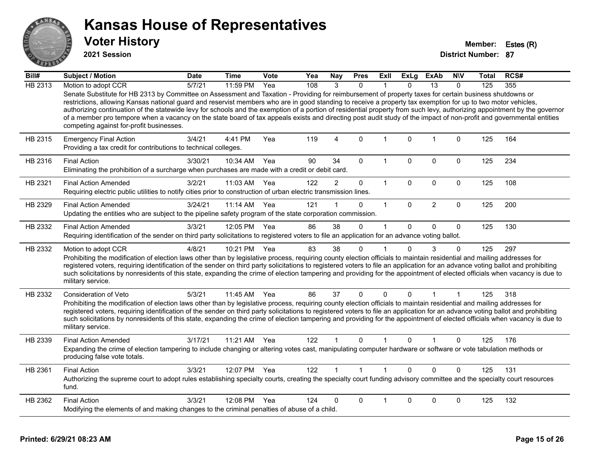![](_page_14_Picture_0.jpeg)

**2021 Session**

| Bill#          | <b>Subject / Motion</b>                                                                                                                                                                                                                                                                                                                                                                                                                                                                                                                                                                                                                                                                                                   | <b>Date</b> | Time         | Vote | Yea | <b>Nay</b>     | <b>Pres</b>  | Exll         | ExLg         | <b>ExAb</b>     | <b>NIV</b>   | <b>Total</b> | RCS# |
|----------------|---------------------------------------------------------------------------------------------------------------------------------------------------------------------------------------------------------------------------------------------------------------------------------------------------------------------------------------------------------------------------------------------------------------------------------------------------------------------------------------------------------------------------------------------------------------------------------------------------------------------------------------------------------------------------------------------------------------------------|-------------|--------------|------|-----|----------------|--------------|--------------|--------------|-----------------|--------------|--------------|------|
| <b>HB 2313</b> | Motion to adopt CCR                                                                                                                                                                                                                                                                                                                                                                                                                                                                                                                                                                                                                                                                                                       | 5/7/21      | 11:59 PM     | Yea  | 108 | 3              | $\mathbf{0}$ |              | $\Omega$     | $\overline{13}$ | $\Omega$     | 125          | 355  |
|                | Senate Substitute for HB 2313 by Committee on Assessment and Taxation - Providing for reimbursement of property taxes for certain business shutdowns or<br>restrictions, allowing Kansas national guard and reservist members who are in good standing to receive a property tax exemption for up to two motor vehicles,<br>authorizing continuation of the statewide levy for schools and the exemption of a portion of residential property from such levy, authorizing appointment by the governor<br>of a member pro tempore when a vacancy on the state board of tax appeals exists and directing post audit study of the impact of non-profit and governmental entities<br>competing against for-profit businesses. |             |              |      |     |                |              |              |              |                 |              |              |      |
| HB 2315        | <b>Emergency Final Action</b><br>Providing a tax credit for contributions to technical colleges.                                                                                                                                                                                                                                                                                                                                                                                                                                                                                                                                                                                                                          | 3/4/21      | 4:41 PM      | Yea  | 119 | $\overline{4}$ | $\mathbf{0}$ | $\mathbf{1}$ | $\mathbf{0}$ | $\mathbf{1}$    | $\mathbf 0$  | 125          | 164  |
| HB 2316        | <b>Final Action</b><br>Eliminating the prohibition of a surcharge when purchases are made with a credit or debit card.                                                                                                                                                                                                                                                                                                                                                                                                                                                                                                                                                                                                    | 3/30/21     | 10:34 AM     | Yea  | 90  | 34             | $\mathbf{0}$ | 1            | $\Omega$     | $\mathbf 0$     | $\Omega$     | 125          | 234  |
| HB 2321        | <b>Final Action Amended</b><br>Requiring electric public utilities to notify cities prior to construction of urban electric transmission lines.                                                                                                                                                                                                                                                                                                                                                                                                                                                                                                                                                                           | 3/2/21      | 11:03 AM     | Yea  | 122 | $\overline{a}$ | $\pmb{0}$    | $\mathbf{1}$ | $\Omega$     | $\mathbf 0$     | $\mathbf 0$  | 125          | 108  |
| HB 2329        | <b>Final Action Amended</b><br>Updating the entities who are subject to the pipeline safety program of the state corporation commission.                                                                                                                                                                                                                                                                                                                                                                                                                                                                                                                                                                                  | 3/24/21     | 11:14 AM     | Yea  | 121 |                | $\Omega$     | $\mathbf{1}$ | $\Omega$     | 2               | $\Omega$     | 125          | 200  |
| HB 2332        | <b>Final Action Amended</b><br>Requiring identification of the sender on third party solicitations to registered voters to file an application for an advance voting ballot.                                                                                                                                                                                                                                                                                                                                                                                                                                                                                                                                              | 3/3/21      | 12:05 PM     | Yea  | 86  | 38             | $\Omega$     | 1            | $\Omega$     | $\mathbf{0}$    | $\Omega$     | 125          | 130  |
| HB 2332        | Motion to adopt CCR<br>Prohibiting the modification of election laws other than by legislative process, requiring county election officials to maintain residential and mailing addresses for<br>registered voters, requiring identification of the sender on third party solicitations to registered voters to file an application for an advance voting ballot and prohibiting<br>such solicitations by nonresidents of this state, expanding the crime of election tampering and providing for the appointment of elected officials when vacancy is due to<br>military service.                                                                                                                                        | 4/8/21      | 10:21 PM     | Yea  | 83  | 38             | $\mathbf 0$  | 1            | $\Omega$     | 3               | 0            | 125          | 297  |
| HB 2332        | <b>Consideration of Veto</b><br>Prohibiting the modification of election laws other than by legislative process, requiring county election officials to maintain residential and mailing addresses for<br>registered voters, requiring identification of the sender on third party solicitations to registered voters to file an application for an advance voting ballot and prohibiting<br>such solicitations by nonresidents of this state, expanding the crime of election tampering and providing for the appointment of elected officials when vacancy is due to<br>military service.                                                                                                                               | 5/3/21      | 11:45 AM     | Yea  | 86  | 37             | $\mathbf{0}$ | 0            | $\Omega$     | 1               | 1            | 125          | 318  |
| HB 2339        | <b>Final Action Amended</b><br>Expanding the crime of election tampering to include changing or altering votes cast, manipulating computer hardware or software or vote tabulation methods or<br>producing false vote totals.                                                                                                                                                                                                                                                                                                                                                                                                                                                                                             | 3/17/21     | 11:21 AM     | Yea  | 122 |                | $\mathbf{0}$ |              | $\Omega$     |                 | $\mathbf{0}$ | 125          | 176  |
| HB 2361        | <b>Final Action</b><br>Authorizing the supreme court to adopt rules establishing specialty courts, creating the specialty court funding advisory committee and the specialty court resources<br>fund.                                                                                                                                                                                                                                                                                                                                                                                                                                                                                                                     | 3/3/21      | 12:07 PM Yea |      | 122 | 1              | $\mathbf{1}$ | 1            | $\Omega$     | $\Omega$        | $\Omega$     | 125          | 131  |
| HB 2362        | <b>Final Action</b><br>Modifying the elements of and making changes to the criminal penalties of abuse of a child.                                                                                                                                                                                                                                                                                                                                                                                                                                                                                                                                                                                                        | 3/3/21      | 12:08 PM     | Yea  | 124 | U              | $\Omega$     |              | $\Omega$     | $\Omega$        | $\Omega$     | 125          | 132  |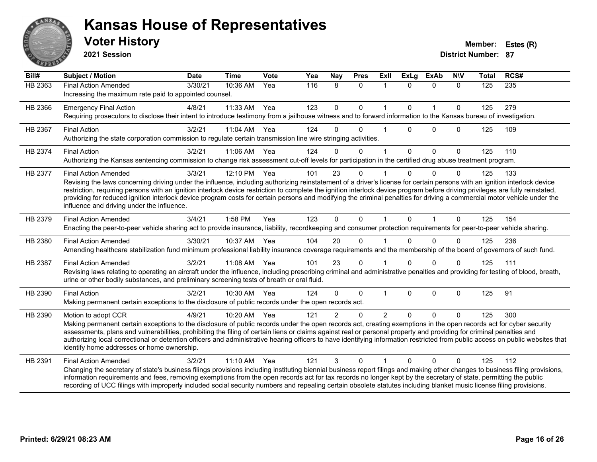![](_page_15_Picture_0.jpeg)

#### **Voter History Member: Estes (R) Kansas House of Representatives**

**2021 Session**

| Bill#   | <b>Subject / Motion</b>                                                                                                                                                                                                                                                                                                                                                                                                                                                                                                                                                                                             | <b>Date</b> | <b>Time</b>  | <b>Vote</b> | Yea | Nay            | <b>Pres</b>  | <b>Exll</b>   | <b>ExLg</b>  | <b>ExAb</b>  | <b>NIV</b>   | <b>Total</b>   | RCS# |
|---------|---------------------------------------------------------------------------------------------------------------------------------------------------------------------------------------------------------------------------------------------------------------------------------------------------------------------------------------------------------------------------------------------------------------------------------------------------------------------------------------------------------------------------------------------------------------------------------------------------------------------|-------------|--------------|-------------|-----|----------------|--------------|---------------|--------------|--------------|--------------|----------------|------|
| HB 2363 | <b>Final Action Amended</b><br>Increasing the maximum rate paid to appointed counsel.                                                                                                                                                                                                                                                                                                                                                                                                                                                                                                                               | 3/30/21     | 10:36 AM     | Yea         | 116 | 8              | $\Omega$     | $\mathbf{1}$  | $\Omega$     | $\Omega$     | $\Omega$     | $\frac{1}{25}$ | 235  |
| HB 2366 | <b>Emergency Final Action</b><br>Requiring prosecutors to disclose their intent to introduce testimony from a jailhouse witness and to forward information to the Kansas bureau of investigation.                                                                                                                                                                                                                                                                                                                                                                                                                   | 4/8/21      | 11:33 AM     | Yea         | 123 | $\mathbf 0$    | $\mathbf{0}$ | $\mathbf{1}$  | $\mathbf{0}$ | $\mathbf{1}$ | $\mathbf{0}$ | 125            | 279  |
| HB 2367 | <b>Final Action</b><br>Authorizing the state corporation commission to regulate certain transmission line wire stringing activities.                                                                                                                                                                                                                                                                                                                                                                                                                                                                                | 3/2/21      | 11:04 AM Yea |             | 124 | $\Omega$       | $\Omega$     |               | $\Omega$     | $\Omega$     | $\Omega$     | 125            | 109  |
| HB 2374 | <b>Final Action</b><br>Authorizing the Kansas sentencing commission to change risk assessment cut-off levels for participation in the certified drug abuse treatment program.                                                                                                                                                                                                                                                                                                                                                                                                                                       | 3/2/21      | 11:06 AM Yea |             | 124 | $\Omega$       | $\Omega$     | 1             | $\Omega$     | $\Omega$     | $\mathbf{0}$ | 125            | 110  |
| HB 2377 | <b>Final Action Amended</b><br>Revising the laws concerning driving under the influence, including authorizing reinstatement of a driver's license for certain persons with an ignition interlock device<br>restriction, requiring persons with an ignition interlock device restriction to complete the ignition interlock device program before driving privileges are fully reinstated,<br>providing for reduced ignition interlock device program costs for certain persons and modifying the criminal penalties for driving a commercial motor vehicle under the<br>influence and driving under the influence. | 3/3/21      | 12:10 PM     | Yea         | 101 | 23             | $\Omega$     |               | $\Omega$     | $\Omega$     | $\Omega$     | 125            | 133  |
| HB 2379 | <b>Final Action Amended</b><br>Enacting the peer-to-peer vehicle sharing act to provide insurance, liability, recordkeeping and consumer protection requirements for peer-to-peer vehicle sharing.                                                                                                                                                                                                                                                                                                                                                                                                                  | 3/4/21      | 1:58 PM      | Yea         | 123 | $\Omega$       | $\Omega$     | 1             | $\Omega$     | 1            | $\Omega$     | 125            | 154  |
| HB 2380 | <b>Final Action Amended</b><br>Amending healthcare stabilization fund minimum professional liability insurance coverage requirements and the membership of the board of governors of such fund.                                                                                                                                                                                                                                                                                                                                                                                                                     | 3/30/21     | 10:37 AM     | Yea         | 104 | 20             | $\Omega$     |               | 0            | $\Omega$     | $\Omega$     | 125            | 236  |
| HB 2387 | <b>Final Action Amended</b><br>Revising laws relating to operating an aircraft under the influence, including prescribing criminal and administrative penalties and providing for testing of blood, breath,<br>urine or other bodily substances, and preliminary screening tests of breath or oral fluid.                                                                                                                                                                                                                                                                                                           | 3/2/21      | 11:08 AM Yea |             | 101 | 23             | $\Omega$     |               | $\Omega$     | $\Omega$     | $\Omega$     | 125            | 111  |
| HB 2390 | <b>Final Action</b><br>Making permanent certain exceptions to the disclosure of public records under the open records act.                                                                                                                                                                                                                                                                                                                                                                                                                                                                                          | 3/2/21      | 10:30 AM     | Yea         | 124 | $\Omega$       | $\Omega$     | 1             | $\Omega$     | $\mathbf 0$  | $\Omega$     | 125            | 91   |
| HB 2390 | Motion to adopt CCR<br>Making permanent certain exceptions to the disclosure of public records under the open records act, creating exemptions in the open records act for cyber security<br>assessments, plans and vulnerabilities, prohibiting the filing of certain liens or claims against real or personal property and providing for criminal penalties and<br>authorizing local correctional or detention officers and administrative hearing officers to have identifying information restricted from public access on public websites that<br>identify home addresses or home ownership.                   | 4/9/21      | 10:20 AM Yea |             | 121 | $\overline{2}$ | $\Omega$     | $\mathcal{P}$ | $\Omega$     | $\Omega$     | $\Omega$     | 125            | 300  |
| HB 2391 | <b>Final Action Amended</b><br>Changing the secretary of state's business filings provisions including instituting biennial business report filings and making other changes to business filing provisions,<br>information requirements and fees, removing exemptions from the open records act for tax records no longer kept by the secretary of state, permitting the public<br>recording of UCC filings with improperly included social security numbers and repealing certain obsolete statutes including blanket music license filing provisions.                                                             | 3/2/21      | 11:10 AM     | Yea         | 121 | 3              | $\Omega$     |               |              | $\Omega$     | $\Omega$     | 125            | 112  |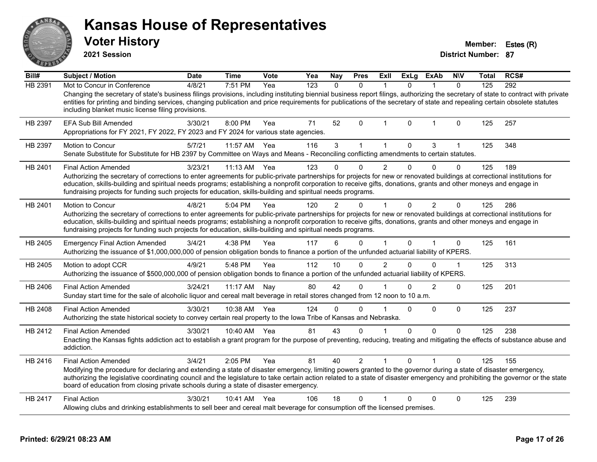|         | <b>Voter History</b><br>2021 Session                                                                                                                                                                                                                                                                                                                                                                                                                                                        |             |              |      |     |               |                |                |              |                |                | <b>District Number: 87</b> | Member: Estes (R) |
|---------|---------------------------------------------------------------------------------------------------------------------------------------------------------------------------------------------------------------------------------------------------------------------------------------------------------------------------------------------------------------------------------------------------------------------------------------------------------------------------------------------|-------------|--------------|------|-----|---------------|----------------|----------------|--------------|----------------|----------------|----------------------------|-------------------|
| Bill#   | <b>Subject / Motion</b>                                                                                                                                                                                                                                                                                                                                                                                                                                                                     | <b>Date</b> | <b>Time</b>  | Vote | Yea | Nay           | <b>Pres</b>    | Exll           | <b>ExLg</b>  | <b>ExAb</b>    | <b>NIV</b>     | Total                      | RCS#              |
| HB 2391 | Mot to Concur in Conference<br>Changing the secretary of state's business filings provisions, including instituting biennial business report filings, authorizing the secretary of state to contract with private<br>entities for printing and binding services, changing publication and price requirements for publications of the secretary of state and repealing certain obsolete statutes<br>including blanket music license filing provisions.                                       | 4/8/21      | 7:51 PM      | Yea  | 123 | $\mathbf{0}$  | $\Omega$       | $\overline{1}$ | $\Omega$     | $\mathbf{1}$   | $\Omega$       | 125                        | 292               |
| HB 2397 | EFA Sub Bill Amended<br>Appropriations for FY 2021, FY 2022, FY 2023 and FY 2024 for various state agencies.                                                                                                                                                                                                                                                                                                                                                                                | 3/30/21     | 8:00 PM      | Yea  | 71  | 52            | $\Omega$       | 1              | 0            | 1              | $\mathbf 0$    | 125                        | 257               |
| HB 2397 | Motion to Concur<br>Senate Substitute for Substitute for HB 2397 by Committee on Ways and Means - Reconciling conflicting amendments to certain statutes.                                                                                                                                                                                                                                                                                                                                   | 5/7/21      | 11:57 AM     | Yea  | 116 | 3             | $\mathbf{1}$   | $\mathbf{1}$   | $\mathbf 0$  | 3              | $\mathbf 1$    | 125                        | 348               |
| HB 2401 | <b>Final Action Amended</b><br>Authorizing the secretary of corrections to enter agreements for public-private partnerships for projects for new or renovated buildings at correctional institutions for<br>education, skills-building and spiritual needs programs; establishing a nonprofit corporation to receive gifts, donations, grants and other moneys and engage in<br>fundraising projects for funding such projects for education, skills-building and spiritual needs programs. | 3/23/21     | 11:13 AM     | Yea  | 123 | $\Omega$      | 0              | $\overline{2}$ | $\mathbf 0$  | $\Omega$       | $\Omega$       | 125                        | 189               |
| HB 2401 | Motion to Concur<br>Authorizing the secretary of corrections to enter agreements for public-private partnerships for projects for new or renovated buildings at correctional institutions for<br>education, skills-building and spiritual needs programs; establishing a nonprofit corporation to receive gifts, donations, grants and other moneys and engage in<br>fundraising projects for funding such projects for education, skills-building and spiritual needs programs.            | 4/8/21      | 5:04 PM      | Yea  | 120 | $\mathcal{P}$ | 0              | 1              | $\mathbf 0$  | $\overline{2}$ | $\overline{0}$ | 125                        | 286               |
| HB 2405 | <b>Emergency Final Action Amended</b><br>Authorizing the issuance of \$1,000,000,000 of pension obligation bonds to finance a portion of the unfunded actuarial liability of KPERS.                                                                                                                                                                                                                                                                                                         | 3/4/21      | 4:38 PM      | Yea  | 117 | 6             | $\Omega$       | 1              | $\Omega$     |                | $\mathbf{0}$   | 125                        | 161               |
| HB 2405 | Motion to adopt CCR<br>Authorizing the issuance of \$500,000,000 of pension obligation bonds to finance a portion of the unfunded actuarial liability of KPERS.                                                                                                                                                                                                                                                                                                                             | 4/9/21      | 5:48 PM      | Yea  | 112 | 10            | $\Omega$       | $\mathfrak{p}$ | $\Omega$     | $\Omega$       | 1              | 125                        | 313               |
| HB 2406 | <b>Final Action Amended</b><br>Sunday start time for the sale of alcoholic liquor and cereal malt beverage in retail stores changed from 12 noon to 10 a.m.                                                                                                                                                                                                                                                                                                                                 | 3/24/21     | 11:17 AM Nay |      | 80  | 42            | $\Omega$       |                | $\Omega$     | 2              | 0              | 125                        | 201               |
| HB 2408 | <b>Final Action Amended</b><br>Authorizing the state historical society to convey certain real property to the Iowa Tribe of Kansas and Nebraska.                                                                                                                                                                                                                                                                                                                                           | 3/30/21     | 10:38 AM Yea |      | 124 | $\Omega$      | $\Omega$       |                | $\Omega$     | $\Omega$       | $\Omega$       | 125                        | 237               |
| HB 2412 | <b>Final Action Amended</b><br>Enacting the Kansas fights addiction act to establish a grant program for the purpose of preventing, reducing, treating and mitigating the effects of substance abuse and<br>addiction.                                                                                                                                                                                                                                                                      | 3/30/21     | 10:40 AM Yea |      | 81  | 43            | $\Omega$       | 1              | $\mathbf 0$  | $\mathbf{0}$   | $\Omega$       | 125                        | 238               |
| HB 2416 | <b>Final Action Amended</b><br>Modifying the procedure for declaring and extending a state of disaster emergency, limiting powers granted to the governor during a state of disaster emergency,<br>authorizing the legislative coordinating council and the legislature to take certain action related to a state of disaster emergency and prohibiting the governor or the state<br>board of education from closing private schools during a state of disaster emergency.                  | 3/4/21      | 2:05 PM      | Yea  | 81  | 40            | $\overline{2}$ | 1              | $\Omega$     |                | 0              | 125                        | 155               |
| HB 2417 | <b>Final Action</b><br>Allowing clubs and drinking establishments to sell beer and cereal malt beverage for consumption off the licensed premises.                                                                                                                                                                                                                                                                                                                                          | 3/30/21     | 10:41 AM Yea |      | 106 | 18            | $\Omega$       |                | $\mathbf{0}$ | $\Omega$       | $\mathbf{0}$   | 125                        | 239               |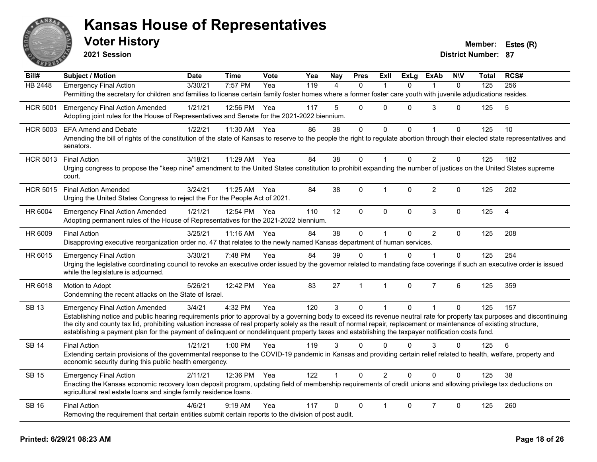![](_page_17_Picture_0.jpeg)

**2021 Session**

| Bill#           | <b>Subject / Motion</b>                                                                                                                                                                                                                                                                                                                           | <b>Date</b> | <b>Time</b>  | Vote | Yea | <b>Nay</b>   | <b>Pres</b>    | ExII         | <b>ExLg</b> | <b>ExAb</b>    | <b>NIV</b>   | Total | RCS#           |
|-----------------|---------------------------------------------------------------------------------------------------------------------------------------------------------------------------------------------------------------------------------------------------------------------------------------------------------------------------------------------------|-------------|--------------|------|-----|--------------|----------------|--------------|-------------|----------------|--------------|-------|----------------|
| <b>HB 2448</b>  | <b>Emergency Final Action</b>                                                                                                                                                                                                                                                                                                                     | 3/30/21     | 7:57 PM      | Yea  | 119 | 4            | $\mathbf{0}$   | 1            | $\Omega$    | 1              | $\mathbf{0}$ | 125   | 256            |
|                 | Permitting the secretary for children and families to license certain family foster homes where a former foster care youth with juvenile adjudications resides.                                                                                                                                                                                   |             |              |      |     |              |                |              |             |                |              |       |                |
| <b>HCR 5001</b> | <b>Emergency Final Action Amended</b>                                                                                                                                                                                                                                                                                                             | 1/21/21     | 12:56 PM Yea |      | 117 | 5            | $\mathbf{0}$   | $\Omega$     | $\Omega$    | 3              | $\Omega$     | 125   | 5              |
|                 | Adopting joint rules for the House of Representatives and Senate for the 2021-2022 biennium.                                                                                                                                                                                                                                                      |             |              |      |     |              |                |              |             |                |              |       |                |
| <b>HCR 5003</b> | <b>EFA Amend and Debate</b>                                                                                                                                                                                                                                                                                                                       | 1/22/21     | 11:30 AM Yea |      | 86  | 38           | $\mathbf{0}$   | $\Omega$     | $\Omega$    | $\overline{1}$ | $\Omega$     | 125   | 10             |
|                 | Amending the bill of rights of the constitution of the state of Kansas to reserve to the people the right to regulate abortion through their elected state representatives and<br>senators.                                                                                                                                                       |             |              |      |     |              |                |              |             |                |              |       |                |
| <b>HCR 5013</b> | <b>Final Action</b>                                                                                                                                                                                                                                                                                                                               | 3/18/21     | 11:29 AM     | Yea  | 84  | 38           | $\mathbf{0}$   |              | $\Omega$    | $\overline{2}$ | $\Omega$     | 125   | 182            |
|                 | Urging congress to propose the "keep nine" amendment to the United States constitution to prohibit expanding the number of justices on the United States supreme<br>court.                                                                                                                                                                        |             |              |      |     |              |                |              |             |                |              |       |                |
| <b>HCR 5015</b> | <b>Final Action Amended</b>                                                                                                                                                                                                                                                                                                                       | 3/24/21     | 11:25 AM Yea |      | 84  | 38           | $\mathbf 0$    | 1            | $\Omega$    | $\overline{2}$ | $\Omega$     | 125   | 202            |
|                 | Urging the United States Congress to reject the For the People Act of 2021.                                                                                                                                                                                                                                                                       |             |              |      |     |              |                |              |             |                |              |       |                |
| HR 6004         | <b>Emergency Final Action Amended</b>                                                                                                                                                                                                                                                                                                             | 1/21/21     | 12:54 PM Yea |      | 110 | 12           | $\pmb{0}$      | $\mathbf 0$  | $\pmb{0}$   | $\mathbf{3}$   | $\mathbf 0$  | 125   | $\overline{4}$ |
|                 | Adopting permanent rules of the House of Representatives for the 2021-2022 biennium.                                                                                                                                                                                                                                                              |             |              |      |     |              |                |              |             |                |              |       |                |
| HR 6009         | <b>Final Action</b>                                                                                                                                                                                                                                                                                                                               | 3/25/21     | 11:16 AM     | Yea  | 84  | 38           | $\pmb{0}$      | $\mathbf{1}$ | $\Omega$    | $\overline{2}$ | $\mathbf{0}$ | 125   | 208            |
|                 | Disapproving executive reorganization order no. 47 that relates to the newly named Kansas department of human services.                                                                                                                                                                                                                           |             |              |      |     |              |                |              |             |                |              |       |                |
| HR 6015         | <b>Emergency Final Action</b>                                                                                                                                                                                                                                                                                                                     | 3/30/21     | 7:48 PM      | Yea  | 84  | 39           | $\Omega$       |              | $\Omega$    | 1              | $\Omega$     | 125   | 254            |
|                 | Urging the legislative coordinating council to revoke an executive order issued by the governor related to mandating face coverings if such an executive order is issued<br>while the legislature is adjourned.                                                                                                                                   |             |              |      |     |              |                |              |             |                |              |       |                |
|                 |                                                                                                                                                                                                                                                                                                                                                   |             |              |      |     |              |                |              |             |                |              |       |                |
| HR 6018         | Motion to Adopt                                                                                                                                                                                                                                                                                                                                   | 5/26/21     | 12:42 PM     | Yea  | 83  | 27           | $\overline{1}$ | $\mathbf{1}$ | $\Omega$    | $\overline{7}$ | 6            | 125   | 359            |
|                 | Condemning the recent attacks on the State of Israel.                                                                                                                                                                                                                                                                                             |             |              |      |     |              |                |              |             |                |              |       |                |
| <b>SB 13</b>    | <b>Emergency Final Action Amended</b>                                                                                                                                                                                                                                                                                                             | 3/4/21      | 4:32 PM      | Yea  | 120 | $\mathbf{3}$ | $\mathbf 0$    | 1            | $\mathbf 0$ | $\mathbf{1}$   | 0            | 125   | 157            |
|                 | Establishing notice and public hearing requirements prior to approval by a governing body to exceed its revenue neutral rate for property tax purposes and discontinuing<br>the city and county tax lid, prohibiting valuation increase of real property solely as the result of normal repair, replacement or maintenance of existing structure, |             |              |      |     |              |                |              |             |                |              |       |                |
|                 | establishing a payment plan for the payment of delinquent or nondelinquent property taxes and establishing the taxpayer notification costs fund.                                                                                                                                                                                                  |             |              |      |     |              |                |              |             |                |              |       |                |
| <b>SB 14</b>    | <b>Final Action</b>                                                                                                                                                                                                                                                                                                                               | 1/21/21     | 1:00 PM      | Yea  | 119 | 3            | $\Omega$       | $\mathbf 0$  | $\Omega$    | 3              | $\mathbf{0}$ | 125   | 6              |
|                 | Extending certain provisions of the governmental response to the COVID-19 pandemic in Kansas and providing certain relief related to health, welfare, property and                                                                                                                                                                                |             |              |      |     |              |                |              |             |                |              |       |                |
|                 | economic security during this public health emergency.                                                                                                                                                                                                                                                                                            |             |              |      |     |              |                |              |             |                |              |       |                |
| <b>SB 15</b>    | <b>Emergency Final Action</b>                                                                                                                                                                                                                                                                                                                     | 2/11/21     | 12:36 PM Yea |      | 122 |              | $\Omega$       | 2            | $\Omega$    | $\Omega$       | $\Omega$     | 125   | 38             |
|                 | Enacting the Kansas economic recovery loan deposit program, updating field of membership requirements of credit unions and allowing privilege tax deductions on<br>agricultural real estate loans and single family residence loans.                                                                                                              |             |              |      |     |              |                |              |             |                |              |       |                |
| <b>SB 16</b>    | <b>Final Action</b>                                                                                                                                                                                                                                                                                                                               | 4/6/21      | $9:19$ AM    | Yea  | 117 | 0            | $\mathbf{0}$   |              | $\Omega$    | $\overline{7}$ | $\Omega$     | 125   | 260            |
|                 | Removing the requirement that certain entities submit certain reports to the division of post audit.                                                                                                                                                                                                                                              |             |              |      |     |              |                |              |             |                |              |       |                |
|                 |                                                                                                                                                                                                                                                                                                                                                   |             |              |      |     |              |                |              |             |                |              |       |                |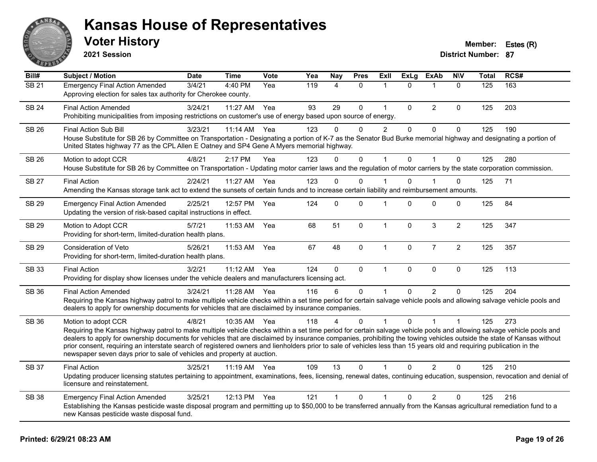![](_page_18_Picture_0.jpeg)

**2021 Session**

| Bill#        | <b>Subject / Motion</b>                                                                                                                                                                                                                                                                                                                                                                                                                                                                                                                                                                                                  | <b>Date</b> | <b>Time</b> | Vote | Yea | <b>Nay</b>   | <b>Pres</b>  | Exll           | <b>ExLg</b>  | <b>ExAb</b>    | <b>NIV</b>     | <b>Total</b> | RCS# |
|--------------|--------------------------------------------------------------------------------------------------------------------------------------------------------------------------------------------------------------------------------------------------------------------------------------------------------------------------------------------------------------------------------------------------------------------------------------------------------------------------------------------------------------------------------------------------------------------------------------------------------------------------|-------------|-------------|------|-----|--------------|--------------|----------------|--------------|----------------|----------------|--------------|------|
| SB21         | <b>Emergency Final Action Amended</b><br>Approving election for sales tax authority for Cherokee county.                                                                                                                                                                                                                                                                                                                                                                                                                                                                                                                 | 3/4/21      | 4:40 PM     | Yea  | 119 | 4            | $\mathbf{0}$ | 1              | $\Omega$     | 1              | $\mathbf{0}$   | 125          | 163  |
| <b>SB 24</b> | <b>Final Action Amended</b><br>Prohibiting municipalities from imposing restrictions on customer's use of energy based upon source of energy.                                                                                                                                                                                                                                                                                                                                                                                                                                                                            | 3/24/21     | 11:27 AM    | Yea  | 93  | 29           | $\mathbf{0}$ | $\mathbf{1}$   | $\Omega$     | $\overline{2}$ | $\Omega$       | 125          | 203  |
| <b>SB 26</b> | <b>Final Action Sub Bill</b><br>House Substitute for SB 26 by Committee on Transportation - Designating a portion of K-7 as the Senator Bud Burke memorial highway and designating a portion of<br>United States highway 77 as the CPL Allen E Oatney and SP4 Gene A Myers memorial highway.                                                                                                                                                                                                                                                                                                                             | 3/23/21     | 11:14 AM    | Yea  | 123 | 0            | 0            | $\overline{2}$ | $\mathbf 0$  | $\pmb{0}$      | $\mathbf 0$    | 125          | 190  |
| <b>SB 26</b> | Motion to adopt CCR<br>House Substitute for SB 26 by Committee on Transportation - Updating motor carrier laws and the regulation of motor carriers by the state corporation commission.                                                                                                                                                                                                                                                                                                                                                                                                                                 | 4/8/21      | 2:17 PM     | Yea  | 123 | $\Omega$     | $\mathbf 0$  | 1              | $\Omega$     | $\overline{1}$ | $\mathbf{0}$   | 125          | 280  |
| <b>SB 27</b> | <b>Final Action</b><br>Amending the Kansas storage tank act to extend the sunsets of certain funds and to increase certain liability and reimbursement amounts.                                                                                                                                                                                                                                                                                                                                                                                                                                                          | 2/24/21     | 11:27 AM    | Yea  | 123 | $\Omega$     | $\Omega$     |                | $\Omega$     |                | $\Omega$       | 125          | 71   |
| <b>SB 29</b> | <b>Emergency Final Action Amended</b><br>Updating the version of risk-based capital instructions in effect.                                                                                                                                                                                                                                                                                                                                                                                                                                                                                                              | 2/25/21     | 12:57 PM    | Yea  | 124 | $\mathbf{0}$ | $\Omega$     | 1              | $\Omega$     | $\mathbf 0$    | 0              | 125          | 84   |
| <b>SB 29</b> | Motion to Adopt CCR<br>Providing for short-term, limited-duration health plans.                                                                                                                                                                                                                                                                                                                                                                                                                                                                                                                                          | 5/7/21      | 11:53 AM    | Yea  | 68  | 51           | $\mathbf 0$  | $\mathbf{1}$   | $\mathbf{0}$ | $\mathbf{3}$   | $\overline{c}$ | 125          | 347  |
| SB 29        | Consideration of Veto<br>Providing for short-term, limited-duration health plans.                                                                                                                                                                                                                                                                                                                                                                                                                                                                                                                                        | 5/26/21     | 11:53 AM    | Yea  | 67  | 48           | $\mathbf 0$  | $\mathbf{1}$   | 0            | $\overline{7}$ | $\sqrt{2}$     | 125          | 357  |
| SB 33        | <b>Final Action</b><br>Providing for display show licenses under the vehicle dealers and manufacturers licensing act.                                                                                                                                                                                                                                                                                                                                                                                                                                                                                                    | 3/2/21      | 11:12 AM    | Yea  | 124 | $\Omega$     | $\mathbf 0$  | $\mathbf{1}$   | $\Omega$     | $\mathbf 0$    | $\mathbf 0$    | 125          | 113  |
| SB 36        | <b>Final Action Amended</b><br>Requiring the Kansas highway patrol to make multiple vehicle checks within a set time period for certain salvage vehicle pools and allowing salvage vehicle pools and<br>dealers to apply for ownership documents for vehicles that are disclaimed by insurance companies.                                                                                                                                                                                                                                                                                                                | 3/24/21     | 11:28 AM    | Yea  | 116 | 6            | $\mathbf 0$  |                | $\Omega$     | 2              | $\Omega$       | 125          | 204  |
| <b>SB 36</b> | Motion to adopt CCR<br>Requiring the Kansas highway patrol to make multiple vehicle checks within a set time period for certain salvage vehicle pools and allowing salvage vehicle pools and<br>dealers to apply for ownership documents for vehicles that are disclaimed by insurance companies, prohibiting the towing vehicles outside the state of Kansas without<br>prior consent, requiring an interstate search of registered owners and lienholders prior to sale of vehicles less than 15 years old and requiring publication in the<br>newspaper seven days prior to sale of vehicles and property at auction. | 4/8/21      | 10:35 AM    | Yea  | 118 |              | 0            |                | $\mathbf{0}$ |                | $\overline{1}$ | 125          | 273  |
| SB 37        | <b>Final Action</b><br>Updating producer licensing statutes pertaining to appointment, examinations, fees, licensing, renewal dates, continuing education, suspension, revocation and denial of<br>licensure and reinstatement.                                                                                                                                                                                                                                                                                                                                                                                          | 3/25/21     | $11:19$ AM  | Yea  | 109 | 13           | 0            |                | 0            | 2              | $\Omega$       | 125          | 210  |
| <b>SB 38</b> | <b>Emergency Final Action Amended</b><br>Establishing the Kansas pesticide waste disposal program and permitting up to \$50,000 to be transferred annually from the Kansas agricultural remediation fund to a<br>new Kansas pesticide waste disposal fund.                                                                                                                                                                                                                                                                                                                                                               | 3/25/21     | 12:13 PM    | Yea  | 121 | $\mathbf{1}$ | 0            | 1              | $\Omega$     | $\overline{2}$ | $\Omega$       | 125          | 216  |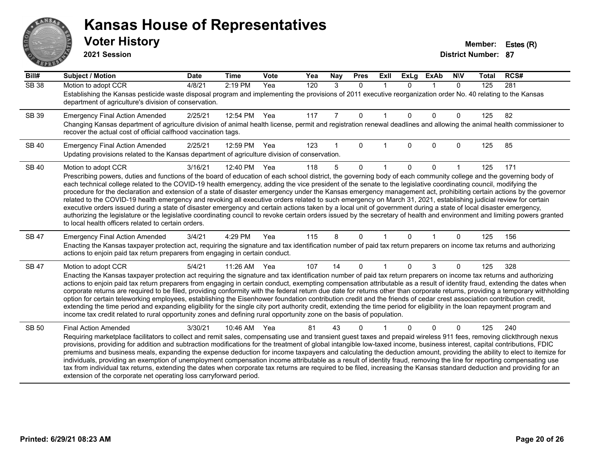# ANS **PARTIE**

#### **Kansas House of Representatives**

**2021 Session**

| Bill#        | <b>Subject / Motion</b>                                                                                                                                                                                                                                                                                                                                    | <b>Date</b> | <b>Time</b> | Vote | Yea | Nay | <b>Pres</b> | ExII        | <b>ExLg</b> | <b>ExAb</b> | <b>NIV</b>   | <b>Total</b> | RCS# |
|--------------|------------------------------------------------------------------------------------------------------------------------------------------------------------------------------------------------------------------------------------------------------------------------------------------------------------------------------------------------------------|-------------|-------------|------|-----|-----|-------------|-------------|-------------|-------------|--------------|--------------|------|
| <b>SB 38</b> | Motion to adopt CCR                                                                                                                                                                                                                                                                                                                                        | 4/8/21      | 2:19 PM     | Yea  | 120 | 3   | $\Omega$    | $\mathbf 1$ | $\Omega$    | $\mathbf 1$ | $\mathbf{0}$ | 125          | 281  |
|              | Establishing the Kansas pesticide waste disposal program and implementing the provisions of 2011 executive reorganization order No. 40 relating to the Kansas<br>department of agriculture's division of conservation.                                                                                                                                     |             |             |      |     |     |             |             |             |             |              |              |      |
| SB 39        | <b>Emergency Final Action Amended</b>                                                                                                                                                                                                                                                                                                                      | 2/25/21     | 12:54 PM    | Yea  | 117 | 7   | 0           |             | $\Omega$    | $\Omega$    | 0            | 125          | 82   |
|              | Changing Kansas department of agriculture division of animal health license, permit and registration renewal deadlines and allowing the animal health commissioner to<br>recover the actual cost of official calfhood vaccination tags.                                                                                                                    |             |             |      |     |     |             |             |             |             |              |              |      |
| <b>SB 40</b> | <b>Emergency Final Action Amended</b>                                                                                                                                                                                                                                                                                                                      | 2/25/21     | 12:59 PM    | Yea  | 123 |     | $\Omega$    |             | $\Omega$    | $\Omega$    | 0            | 125          | 85   |
|              | Updating provisions related to the Kansas department of agriculture division of conservation.                                                                                                                                                                                                                                                              |             |             |      |     |     |             |             |             |             |              |              |      |
| <b>SB 40</b> | Motion to adopt CCR                                                                                                                                                                                                                                                                                                                                        | 3/16/21     | 12:40 PM    | Yea  | 118 | 5   | $\Omega$    |             | $\Omega$    | $\Omega$    |              | 125          | 171  |
|              | Prescribing powers, duties and functions of the board of education of each school district, the governing body of each community college and the governing body of                                                                                                                                                                                         |             |             |      |     |     |             |             |             |             |              |              |      |
|              | each technical college related to the COVID-19 health emergency, adding the vice president of the senate to the legislative coordinating council, modifying the<br>procedure for the declaration and extension of a state of disaster emergency under the Kansas emergency management act, prohibiting certain actions by the governor                     |             |             |      |     |     |             |             |             |             |              |              |      |
|              | related to the COVID-19 health emergency and revoking all executive orders related to such emergency on March 31, 2021, establishing judicial review for certain                                                                                                                                                                                           |             |             |      |     |     |             |             |             |             |              |              |      |
|              | executive orders issued during a state of disaster emergency and certain actions taken by a local unit of government during a state of local disaster emergency,<br>authorizing the legislature or the legislative coordinating council to revoke certain orders issued by the secretary of health and environment and limiting powers granted             |             |             |      |     |     |             |             |             |             |              |              |      |
|              | to local health officers related to certain orders.                                                                                                                                                                                                                                                                                                        |             |             |      |     |     |             |             |             |             |              |              |      |
| <b>SB 47</b> | <b>Emergency Final Action Amended</b>                                                                                                                                                                                                                                                                                                                      | 3/4/21      | 4:29 PM     | Yea  | 115 | 8   | $\Omega$    |             | $\Omega$    |             | 0            | 125          | 156  |
|              | Enacting the Kansas taxpayer protection act, requiring the signature and tax identification number of paid tax return preparers on income tax returns and authorizing<br>actions to enjoin paid tax return preparers from engaging in certain conduct.                                                                                                     |             |             |      |     |     |             |             |             |             |              |              |      |
| SB 47        | Motion to adopt CCR                                                                                                                                                                                                                                                                                                                                        | 5/4/21      | 11:26 AM    | Yea  | 107 | 14  | $\Omega$    |             | $\Omega$    | 3           | 0            | 125          | 328  |
|              | Enacting the Kansas taxpayer protection act requiring the signature and tax identification number of paid tax return preparers on income tax returns and authorizing                                                                                                                                                                                       |             |             |      |     |     |             |             |             |             |              |              |      |
|              | actions to enjoin paid tax return preparers from engaging in certain conduct, exempting compensation attributable as a result of identity fraud, extending the dates when<br>corporate returns are required to be filed, providing conformity with the federal return due date for returns other than corporate returns, providing a temporary withholding |             |             |      |     |     |             |             |             |             |              |              |      |
|              | option for certain teleworking employees, establishing the Eisenhower foundation contribution credit and the friends of cedar crest association contribution credit,                                                                                                                                                                                       |             |             |      |     |     |             |             |             |             |              |              |      |
|              | extending the time period and expanding eligibility for the single city port authority credit, extending the time period for eligibility in the loan repayment program and<br>income tax credit related to rural opportunity zones and defining rural opportunity zone on the basis of population.                                                         |             |             |      |     |     |             |             |             |             |              |              |      |
|              |                                                                                                                                                                                                                                                                                                                                                            |             |             |      |     |     |             |             |             |             |              |              |      |
| <b>SB 50</b> | <b>Final Action Amended</b><br>Requiring marketplace facilitators to collect and remit sales, compensating use and transient guest taxes and prepaid wireless 911 fees, removing clickthrough nexus                                                                                                                                                        | 3/30/21     | 10:46 AM    | Yea  | 81  | 43  | 0           |             |             | $\Omega$    | 0            | 125          | 240  |
|              | provisions, providing for addition and subtraction modifications for the treatment of global intangible low-taxed income, business interest, capital contributions, FDIC                                                                                                                                                                                   |             |             |      |     |     |             |             |             |             |              |              |      |
|              | premiums and business meals, expanding the expense deduction for income taxpayers and calculating the deduction amount, providing the ability to elect to itemize for                                                                                                                                                                                      |             |             |      |     |     |             |             |             |             |              |              |      |
|              | individuals, providing an exemption of unemployment compensation income attributable as a result of identity fraud, removing the line for reporting compensating use<br>tax from individual tax returns, extending the dates when corporate tax returns are required to be filed, increasing the Kansas standard deduction and providing for an            |             |             |      |     |     |             |             |             |             |              |              |      |
|              | extension of the corporate net operating loss carryforward period.                                                                                                                                                                                                                                                                                         |             |             |      |     |     |             |             |             |             |              |              |      |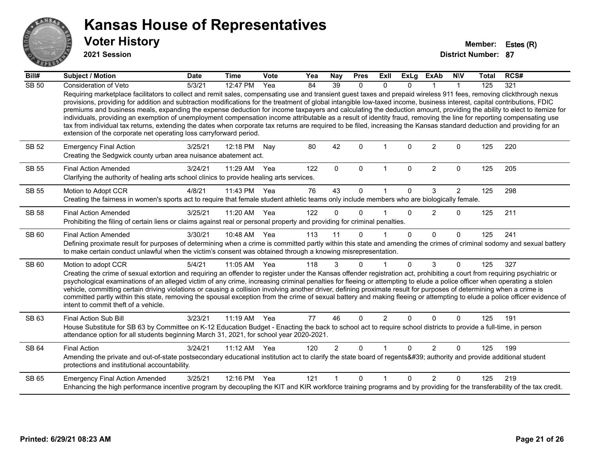![](_page_20_Picture_0.jpeg)

**2021 Session**

| Bill#        | <b>Subject / Motion</b>                                                                                                                                                                                                                                                                                                                                                                                                                                                                                                                                                                                                                                                                                                                                                                                                                                                                                                                            | <b>Date</b> | <b>Time</b>  | <b>Vote</b> | Yea | <b>Nay</b>     | <b>Pres</b>  | Exll           | <b>ExLg</b>  | <b>ExAb</b>    | <b>NIV</b>     | <b>Total</b> | RCS# |
|--------------|----------------------------------------------------------------------------------------------------------------------------------------------------------------------------------------------------------------------------------------------------------------------------------------------------------------------------------------------------------------------------------------------------------------------------------------------------------------------------------------------------------------------------------------------------------------------------------------------------------------------------------------------------------------------------------------------------------------------------------------------------------------------------------------------------------------------------------------------------------------------------------------------------------------------------------------------------|-------------|--------------|-------------|-----|----------------|--------------|----------------|--------------|----------------|----------------|--------------|------|
| <b>SB 50</b> | Consideration of Veto                                                                                                                                                                                                                                                                                                                                                                                                                                                                                                                                                                                                                                                                                                                                                                                                                                                                                                                              | 5/3/21      | 12:47 PM     | Yea         | 84  | 39             | $\mathbf{0}$ | $\Omega$       | $\Omega$     |                |                | 125          | 321  |
|              | Requiring marketplace facilitators to collect and remit sales, compensating use and transient guest taxes and prepaid wireless 911 fees, removing clickthrough nexus<br>provisions, providing for addition and subtraction modifications for the treatment of global intangible low-taxed income, business interest, capital contributions, FDIC<br>premiums and business meals, expanding the expense deduction for income taxpayers and calculating the deduction amount, providing the ability to elect to itemize for<br>individuals, providing an exemption of unemployment compensation income attributable as a result of identity fraud, removing the line for reporting compensating use<br>tax from individual tax returns, extending the dates when corporate tax returns are required to be filed, increasing the Kansas standard deduction and providing for an<br>extension of the corporate net operating loss carryforward period. |             |              |             |     |                |              |                |              |                |                |              |      |
| SB 52        | <b>Emergency Final Action</b><br>Creating the Sedgwick county urban area nuisance abatement act.                                                                                                                                                                                                                                                                                                                                                                                                                                                                                                                                                                                                                                                                                                                                                                                                                                                   | 3/25/21     | 12:18 PM     | Nay         | 80  | 42             | $\Omega$     |                | $\Omega$     | $\overline{2}$ | $\Omega$       | 125          | 220  |
| SB 55        | <b>Final Action Amended</b><br>Clarifying the authority of healing arts school clinics to provide healing arts services.                                                                                                                                                                                                                                                                                                                                                                                                                                                                                                                                                                                                                                                                                                                                                                                                                           | 3/24/21     | 11:29 AM     | Yea         | 122 | $\Omega$       | $\mathbf{0}$ | $\mathbf{1}$   | $\Omega$     | $\overline{2}$ | $\Omega$       | 125          | 205  |
| <b>SB 55</b> | Motion to Adopt CCR                                                                                                                                                                                                                                                                                                                                                                                                                                                                                                                                                                                                                                                                                                                                                                                                                                                                                                                                | 4/8/21      | 11:43 PM     | Yea         | 76  | 43             | $\Omega$     |                | $\Omega$     | 3              | $\overline{2}$ | 125          | 298  |
|              | Creating the fairness in women's sports act to require that female student athletic teams only include members who are biologically female.                                                                                                                                                                                                                                                                                                                                                                                                                                                                                                                                                                                                                                                                                                                                                                                                        |             |              |             |     |                |              |                |              |                |                |              |      |
| <b>SB 58</b> | <b>Final Action Amended</b>                                                                                                                                                                                                                                                                                                                                                                                                                                                                                                                                                                                                                                                                                                                                                                                                                                                                                                                        | 3/25/21     | 11:20 AM Yea |             | 122 | $\Omega$       | $\Omega$     |                | $\Omega$     | $\overline{2}$ | $\Omega$       | 125          | 211  |
|              | Prohibiting the filing of certain liens or claims against real or personal property and providing for criminal penalties.                                                                                                                                                                                                                                                                                                                                                                                                                                                                                                                                                                                                                                                                                                                                                                                                                          |             |              |             |     |                |              |                |              |                |                |              |      |
| SB 60        | <b>Final Action Amended</b>                                                                                                                                                                                                                                                                                                                                                                                                                                                                                                                                                                                                                                                                                                                                                                                                                                                                                                                        | 3/30/21     | 10:48 AM Yea |             | 113 | 11             | $\Omega$     |                | $\Omega$     | $\Omega$       | $\Omega$       | 125          | 241  |
|              | Defining proximate result for purposes of determining when a crime is committed partly within this state and amending the crimes of criminal sodomy and sexual battery<br>to make certain conduct unlawful when the victim's consent was obtained through a knowing misrepresentation.                                                                                                                                                                                                                                                                                                                                                                                                                                                                                                                                                                                                                                                             |             |              |             |     |                |              |                |              |                |                |              |      |
| SB 60        | Motion to adopt CCR                                                                                                                                                                                                                                                                                                                                                                                                                                                                                                                                                                                                                                                                                                                                                                                                                                                                                                                                | 5/4/21      | 11:05 AM Yea |             | 118 | 3              | $\mathbf{0}$ |                | $\Omega$     | 3              | $\mathbf{0}$   | 125          | 327  |
|              | Creating the crime of sexual extortion and requiring an offender to register under the Kansas offender registration act, prohibiting a court from requiring psychiatric or<br>psychological examinations of an alleged victim of any crime, increasing criminal penalties for fleeing or attempting to elude a police officer when operating a stolen<br>vehicle, committing certain driving violations or causing a collision involving another driver, defining proximate result for purposes of determining when a crime is<br>committed partly within this state, removing the spousal exception from the crime of sexual battery and making fleeing or attempting to elude a police officer evidence of<br>intent to commit theft of a vehicle.                                                                                                                                                                                               |             |              |             |     |                |              |                |              |                |                |              |      |
| SB 63        | Final Action Sub Bill                                                                                                                                                                                                                                                                                                                                                                                                                                                                                                                                                                                                                                                                                                                                                                                                                                                                                                                              | 3/23/21     | 11:19 AM Yea |             | 77  | 46             | $\Omega$     | $\overline{2}$ | $\Omega$     | $\Omega$       | $\Omega$       | 125          | 191  |
|              | House Substitute for SB 63 by Committee on K-12 Education Budget - Enacting the back to school act to require school districts to provide a full-time, in person<br>attendance option for all students beginning March 31, 2021, for school year 2020-2021.                                                                                                                                                                                                                                                                                                                                                                                                                                                                                                                                                                                                                                                                                        |             |              |             |     |                |              |                |              |                |                |              |      |
| <b>SB 64</b> | <b>Final Action</b>                                                                                                                                                                                                                                                                                                                                                                                                                                                                                                                                                                                                                                                                                                                                                                                                                                                                                                                                | 3/24/21     | 11:12 AM     | Yea         | 120 | $\overline{2}$ | $\Omega$     |                | $\Omega$     | 2              | $\mathbf{0}$   | 125          | 199  |
|              | Amending the private and out-of-state postsecondary educational institution act to clarify the state board of regents' authority and provide additional student<br>protections and institutional accountability.                                                                                                                                                                                                                                                                                                                                                                                                                                                                                                                                                                                                                                                                                                                                   |             |              |             |     |                |              |                |              |                |                |              |      |
| SB 65        | <b>Emergency Final Action Amended</b>                                                                                                                                                                                                                                                                                                                                                                                                                                                                                                                                                                                                                                                                                                                                                                                                                                                                                                              | 3/25/21     | 12:16 PM     | Yea         | 121 |                | $\Omega$     |                | <sup>n</sup> | $\mathcal{P}$  | $\Omega$       | 125          | 219  |
|              | Enhancing the high performance incentive program by decoupling the KIT and KIR workforce training programs and by providing for the transferability of the tax credit.                                                                                                                                                                                                                                                                                                                                                                                                                                                                                                                                                                                                                                                                                                                                                                             |             |              |             |     |                |              |                |              |                |                |              |      |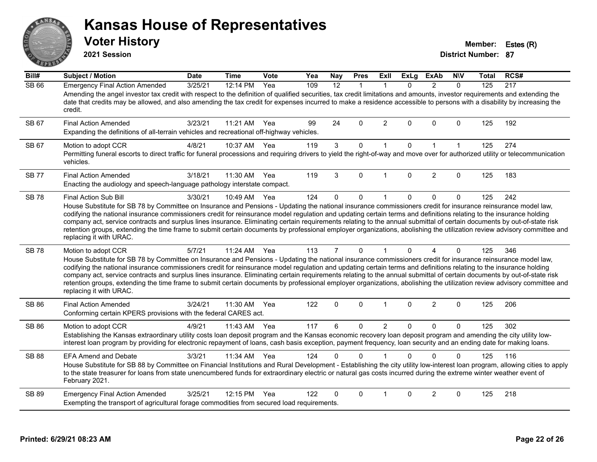# ANS Erry

#### **Kansas House of Representatives**

**2021 Session**

**Voter History Member: Estes (R)** 

| Bill#        | <b>Subject / Motion</b>                                                                                                                                                                                                                                                                                                                                                                                                                                                                                                                                                                                                                                                                                                                        | <b>Date</b> | <b>Time</b> | Vote | Yea | <b>Nay</b>     | <b>Pres</b>  | <b>ExII</b>    | <b>ExLg</b> | <b>ExAb</b>    | <b>NIV</b>   | Total | RCS# |
|--------------|------------------------------------------------------------------------------------------------------------------------------------------------------------------------------------------------------------------------------------------------------------------------------------------------------------------------------------------------------------------------------------------------------------------------------------------------------------------------------------------------------------------------------------------------------------------------------------------------------------------------------------------------------------------------------------------------------------------------------------------------|-------------|-------------|------|-----|----------------|--------------|----------------|-------------|----------------|--------------|-------|------|
| <b>SB 66</b> | <b>Emergency Final Action Amended</b><br>Amending the angel investor tax credit with respect to the definition of qualified securities, tax credit limitations and amounts, investor requirements and extending the<br>date that credits may be allowed, and also amending the tax credit for expenses incurred to make a residence accessible to persons with a disability by increasing the<br>credit.                                                                                                                                                                                                                                                                                                                                       | 3/25/21     | 12:14 PM    | Yea  | 109 | 12             | $\mathbf{1}$ | $\mathbf{1}$   | $\Omega$    | 2              | $\Omega$     | 125   | 217  |
| SB 67        | <b>Final Action Amended</b><br>Expanding the definitions of all-terrain vehicles and recreational off-highway vehicles.                                                                                                                                                                                                                                                                                                                                                                                                                                                                                                                                                                                                                        | 3/23/21     | 11:21 AM    | Yea  | 99  | 24             | $\Omega$     | 2              | $\Omega$    | $\Omega$       | $\Omega$     | 125   | 192  |
| SB 67        | Motion to adopt CCR<br>Permitting funeral escorts to direct traffic for funeral processions and requiring drivers to yield the right-of-way and move over for authorized utility or telecommunication<br>vehicles.                                                                                                                                                                                                                                                                                                                                                                                                                                                                                                                             | 4/8/21      | 10:37 AM    | Yea  | 119 | $\mathbf{3}$   | 0            | $\mathbf{1}$   | $\Omega$    | $\mathbf{1}$   | $\mathbf{1}$ | 125   | 274  |
| <b>SB77</b>  | <b>Final Action Amended</b><br>Enacting the audiology and speech-language pathology interstate compact.                                                                                                                                                                                                                                                                                                                                                                                                                                                                                                                                                                                                                                        | 3/18/21     | 11:30 AM    | Yea  | 119 | 3              | $\Omega$     | $\overline{1}$ | $\Omega$    | 2              | $\Omega$     | 125   | 183  |
| <b>SB78</b>  | Final Action Sub Bill<br>House Substitute for SB 78 by Committee on Insurance and Pensions - Updating the national insurance commissioners credit for insurance reinsurance model law,<br>codifying the national insurance commissioners credit for reinsurance model regulation and updating certain terms and definitions relating to the insurance holding<br>company act, service contracts and surplus lines insurance. Eliminating certain requirements relating to the annual submittal of certain documents by out-of-state risk<br>retention groups, extending the time frame to submit certain documents by professional employer organizations, abolishing the utilization review advisory committee and<br>replacing it with URAC. | 3/30/21     | 10:49 AM    | Yea  | 124 | $\Omega$       | 0            | 1              | $\Omega$    | $\mathbf{0}$   | $\mathbf 0$  | 125   | 242  |
| <b>SB78</b>  | Motion to adopt CCR<br>House Substitute for SB 78 by Committee on Insurance and Pensions - Updating the national insurance commissioners credit for insurance reinsurance model law,<br>codifying the national insurance commissioners credit for reinsurance model regulation and updating certain terms and definitions relating to the insurance holding<br>company act, service contracts and surplus lines insurance. Eliminating certain requirements relating to the annual submittal of certain documents by out-of-state risk<br>retention groups, extending the time frame to submit certain documents by professional employer organizations, abolishing the utilization review advisory committee and<br>replacing it with URAC.   | 5/7/21      | 11:24 AM    | Yea  | 113 | $\overline{7}$ | $\mathbf{0}$ | $\mathbf{1}$   | $\Omega$    | 4              | $\mathbf{0}$ | 125   | 346  |
| SB 86        | <b>Final Action Amended</b><br>Conforming certain KPERS provisions with the federal CARES act.                                                                                                                                                                                                                                                                                                                                                                                                                                                                                                                                                                                                                                                 | 3/24/21     | 11:30 AM    | Yea  | 122 | 0              | 0            | 1              | 0           | $\overline{c}$ | 0            | 125   | 206  |
| SB 86        | Motion to adopt CCR<br>Establishing the Kansas extraordinary utility costs loan deposit program and the Kansas economic recovery loan deposit program and amending the city utility low-<br>interest loan program by providing for electronic repayment of loans, cash basis exception, payment frequency, loan security and an ending date for making loans.                                                                                                                                                                                                                                                                                                                                                                                  | 4/9/21      | 11:43 AM    | Yea  | 117 | 6              | 0            | $\overline{2}$ | $\Omega$    | $\mathbf{0}$   | $\Omega$     | 125   | 302  |
| <b>SB 88</b> | <b>EFA Amend and Debate</b><br>House Substitute for SB 88 by Committee on Financial Institutions and Rural Development - Establishing the city utility low-interest loan program, allowing cities to apply<br>to the state treasurer for loans from state unencumbered funds for extraordinary electric or natural gas costs incurred during the extreme winter weather event of<br>February 2021.                                                                                                                                                                                                                                                                                                                                             | 3/3/21      | 11:34 AM    | Yea  | 124 | 0              | $\Omega$     |                | $\Omega$    | $\Omega$       | $\Omega$     | 125   | 116  |
| <b>SB 89</b> | <b>Emergency Final Action Amended</b><br>Exempting the transport of agricultural forage commodities from secured load requirements.                                                                                                                                                                                                                                                                                                                                                                                                                                                                                                                                                                                                            | 3/25/21     | 12:15 PM    | Yea  | 122 | 0              | $\Omega$     |                | $\Omega$    | $\overline{2}$ | $\Omega$     | 125   | 218  |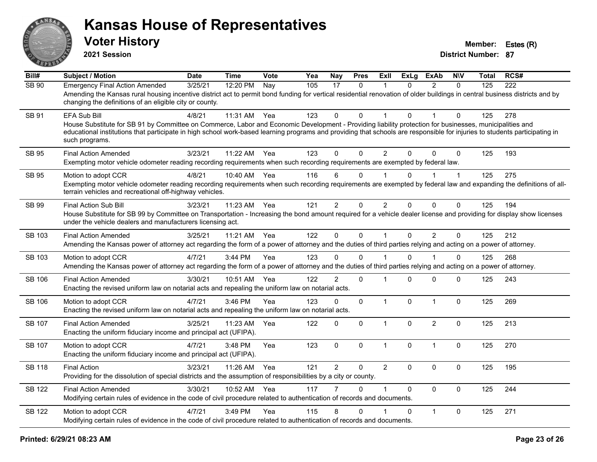![](_page_22_Picture_0.jpeg)

**2021 Session**

| Bill#         | <b>Subject / Motion</b>                                                                                                                                                                                                                                                                                                                                                 | <b>Date</b> | <b>Time</b> | Vote | Yea | Nay            | <b>Pres</b>    | ExIl           | <b>ExLg</b> | <b>ExAb</b>    | <b>NIV</b>   | Total | RCS# |
|---------------|-------------------------------------------------------------------------------------------------------------------------------------------------------------------------------------------------------------------------------------------------------------------------------------------------------------------------------------------------------------------------|-------------|-------------|------|-----|----------------|----------------|----------------|-------------|----------------|--------------|-------|------|
| <b>SB 90</b>  | <b>Emergency Final Action Amended</b><br>Amending the Kansas rural housing incentive district act to permit bond funding for vertical residential renovation of older buildings in central business districts and by<br>changing the definitions of an eligible city or county.                                                                                         | 3/25/21     | 12:20 PM    | Nay  | 105 | 17             | $\mathbf{0}$   | 1              | $\Omega$    | 2              | $\Omega$     | 125   | 222  |
| SB 91         | EFA Sub Bill<br>House Substitute for SB 91 by Committee on Commerce, Labor and Economic Development - Providing liability protection for businesses, municipalities and<br>educational institutions that participate in high school work-based learning programs and providing that schools are responsible for injuries to students participating in<br>such programs. | 4/8/21      | 11:31 AM    | Yea  | 123 | $\Omega$       | $\mathbf{0}$   | 1              | $\Omega$    |                | $\mathbf{0}$ | 125   | 278  |
| <b>SB 95</b>  | <b>Final Action Amended</b><br>Exempting motor vehicle odometer reading recording requirements when such recording requirements are exempted by federal law.                                                                                                                                                                                                            | 3/23/21     | 11:22 AM    | Yea  | 123 | $\Omega$       | $\mathbf{0}$   | $\overline{2}$ | $\Omega$    | $\Omega$       | $\mathbf{0}$ | 125   | 193  |
| SB 95         | Motion to adopt CCR<br>Exempting motor vehicle odometer reading recording requirements when such recording requirements are exempted by federal law and expanding the definitions of all-<br>terrain vehicles and recreational off-highway vehicles.                                                                                                                    | 4/8/21      | 10:40 AM    | Yea  | 116 | 6              | 0              |                | 0           |                | $\mathbf 1$  | 125   | 275  |
| SB 99         | <b>Final Action Sub Bill</b><br>House Substitute for SB 99 by Committee on Transportation - Increasing the bond amount required for a vehicle dealer license and providing for display show licenses<br>under the vehicle dealers and manufacturers licensing act.                                                                                                      | 3/23/21     | 11:23 AM    | Yea  | 121 | $\overline{2}$ | 0              | $\overline{2}$ | $\Omega$    | $\mathbf{0}$   | 0            | 125   | 194  |
| <b>SB 103</b> | <b>Final Action Amended</b><br>Amending the Kansas power of attorney act regarding the form of a power of attorney and the duties of third parties relying and acting on a power of attorney.                                                                                                                                                                           | 3/25/21     | 11:21 AM    | Yea  | 122 | $\mathbf 0$    | $\overline{0}$ | $\mathbf{1}$   | $\mathbf 0$ | $\overline{2}$ | $\mathbf 0$  | 125   | 212  |
| SB 103        | Motion to adopt CCR<br>Amending the Kansas power of attorney act regarding the form of a power of attorney and the duties of third parties relying and acting on a power of attorney.                                                                                                                                                                                   | 4/7/21      | $3:44$ PM   | Yea  | 123 | $\Omega$       | $\Omega$       |                | $\Omega$    |                | 0            | 125   | 268  |
| <b>SB 106</b> | <b>Final Action Amended</b><br>Enacting the revised uniform law on notarial acts and repealing the uniform law on notarial acts.                                                                                                                                                                                                                                        | 3/30/21     | 10:51 AM    | Yea  | 122 | $\overline{2}$ | $\mathbf 0$    | $\mathbf 1$    | $\Omega$    | $\mathbf{0}$   | 0            | 125   | 243  |
| <b>SB 106</b> | Motion to adopt CCR<br>Enacting the revised uniform law on notarial acts and repealing the uniform law on notarial acts.                                                                                                                                                                                                                                                | 4/7/21      | 3:46 PM     | Yea  | 123 | 0              | $\mathbf 0$    | $\mathbf{1}$   | $\mathbf 0$ | $\mathbf{1}$   | $\mathbf 0$  | 125   | 269  |
| <b>SB 107</b> | <b>Final Action Amended</b><br>Enacting the uniform fiduciary income and principal act (UFIPA).                                                                                                                                                                                                                                                                         | 3/25/21     | 11:23 AM    | Yea  | 122 | $\mathbf 0$    | 0              | $\mathbf{1}$   | $\Omega$    | $\overline{2}$ | $\mathbf 0$  | 125   | 213  |
| SB 107        | Motion to adopt CCR<br>Enacting the uniform fiduciary income and principal act (UFIPA).                                                                                                                                                                                                                                                                                 | 4/7/21      | 3:48 PM     | Yea  | 123 | $\mathbf 0$    | 0              | $\mathbf{1}$   | 0           | $\mathbf{1}$   | $\mathbf 0$  | 125   | 270  |
| SB 118        | <b>Final Action</b><br>Providing for the dissolution of special districts and the assumption of responsibilities by a city or county.                                                                                                                                                                                                                                   | 3/23/21     | 11:26 AM    | Yea  | 121 | $\overline{2}$ | 0              | $\overline{2}$ | $\Omega$    | $\mathbf 0$    | $\mathbf 0$  | 125   | 195  |
| <b>SB 122</b> | <b>Final Action Amended</b><br>Modifying certain rules of evidence in the code of civil procedure related to authentication of records and documents.                                                                                                                                                                                                                   | 3/30/21     | 10:52 AM    | Yea  | 117 | 7              | $\Omega$       | $\mathbf{1}$   | $\Omega$    | $\Omega$       | $\mathbf 0$  | 125   | 244  |
| <b>SB 122</b> | Motion to adopt CCR<br>Modifying certain rules of evidence in the code of civil procedure related to authentication of records and documents.                                                                                                                                                                                                                           | 4/7/21      | 3:49 PM     | Yea  | 115 | 8              | $\mathbf{0}$   |                | $\Omega$    | $\mathbf{1}$   | $\mathbf 0$  | 125   | 271  |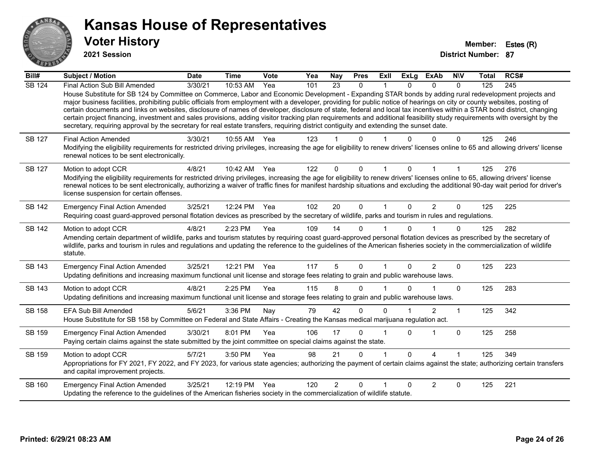![](_page_23_Picture_0.jpeg)

**2021 Session**

| Bill#         | <b>Subject / Motion</b>                                                                                                                                                                                                                                                                                                                                                                                                                                                                                                                                                                                                                                                                                                                                                                                                                                              | <b>Date</b> | <b>Time</b> | <b>Vote</b> | Yea | Nay            | <b>Pres</b> | <b>Exll</b> | <b>ExLg</b> | <b>ExAb</b>    | <b>NIV</b> | Total | RCS# |
|---------------|----------------------------------------------------------------------------------------------------------------------------------------------------------------------------------------------------------------------------------------------------------------------------------------------------------------------------------------------------------------------------------------------------------------------------------------------------------------------------------------------------------------------------------------------------------------------------------------------------------------------------------------------------------------------------------------------------------------------------------------------------------------------------------------------------------------------------------------------------------------------|-------------|-------------|-------------|-----|----------------|-------------|-------------|-------------|----------------|------------|-------|------|
| <b>SB 124</b> | Final Action Sub Bill Amended<br>House Substitute for SB 124 by Committee on Commerce, Labor and Economic Development - Expanding STAR bonds by adding rural redevelopment projects and<br>major business facilities, prohibiting public officials from employment with a developer, providing for public notice of hearings on city or county websites, posting of<br>certain documents and links on websites, disclosure of names of developer, disclosure of state, federal and local tax incentives within a STAR bond district, changing<br>certain project financing, investment and sales provisions, adding visitor tracking plan requirements and additional feasibility study requirements with oversight by the<br>secretary, requiring approval by the secretary for real estate transfers, requiring district contiguity and extending the sunset date. | 3/30/21     | 10:53 AM    | Yea         | 101 | 23             | $\Omega$    |             | $\Omega$    | $\Omega$       | $\Omega$   | 125   | 245  |
| <b>SB 127</b> | <b>Final Action Amended</b><br>Modifying the eligibility requirements for restricted driving privileges, increasing the age for eligibility to renew drivers' licenses online to 65 and allowing drivers' license<br>renewal notices to be sent electronically.                                                                                                                                                                                                                                                                                                                                                                                                                                                                                                                                                                                                      | 3/30/21     | 10:55 AM    | Yea         | 123 |                |             |             |             |                | 0          | 125   | 246  |
| SB 127        | Motion to adopt CCR<br>Modifying the eligibility requirements for restricted driving privileges, increasing the age for eligibility to renew drivers' licenses online to 65, allowing drivers' license<br>renewal notices to be sent electronically, authorizing a waiver of traffic fines for manifest hardship situations and excluding the additional 90-day wait period for driver's<br>license suspension for certain offenses.                                                                                                                                                                                                                                                                                                                                                                                                                                 | 4/8/21      | 10:42 AM    | Yea         | 122 | $\mathbf{0}$   | $\Omega$    | 1           | $\Omega$    |                |            | 125   | 276  |
| <b>SB 142</b> | <b>Emergency Final Action Amended</b><br>Requiring coast guard-approved personal flotation devices as prescribed by the secretary of wildlife, parks and tourism in rules and regulations.                                                                                                                                                                                                                                                                                                                                                                                                                                                                                                                                                                                                                                                                           | 3/25/21     | 12:24 PM    | Yea         | 102 | 20             | $\mathbf 0$ |             | $\Omega$    | $\overline{2}$ | $\Omega$   | 125   | 225  |
| SB 142        | Motion to adopt CCR<br>Amending certain department of wildlife, parks and tourism statutes by requiring coast guard-approved personal flotation devices as prescribed by the secretary of<br>wildlife, parks and tourism in rules and regulations and updating the reference to the guidelines of the American fisheries society in the commercialization of wildlife<br>statute.                                                                                                                                                                                                                                                                                                                                                                                                                                                                                    | 4/8/21      | 2:23 PM     | Yea         | 109 | 14             | $\Omega$    |             | $\Omega$    |                | 0          | 125   | 282  |
| SB 143        | <b>Emergency Final Action Amended</b><br>Updating definitions and increasing maximum functional unit license and storage fees relating to grain and public warehouse laws.                                                                                                                                                                                                                                                                                                                                                                                                                                                                                                                                                                                                                                                                                           | 3/25/21     | 12:21 PM    | Yea         | 117 | 5              | $\Omega$    | 1           | $\Omega$    | $\overline{2}$ | $\Omega$   | 125   | 223  |
| <b>SB 143</b> | Motion to adopt CCR<br>Updating definitions and increasing maximum functional unit license and storage fees relating to grain and public warehouse laws.                                                                                                                                                                                                                                                                                                                                                                                                                                                                                                                                                                                                                                                                                                             | 4/8/21      | 2:25 PM     | Yea         | 115 | 8              | 0           |             | $\Omega$    |                | $\Omega$   | 125   | 283  |
| SB 158        | <b>EFA Sub Bill Amended</b><br>House Substitute for SB 158 by Committee on Federal and State Affairs - Creating the Kansas medical marijuana regulation act.                                                                                                                                                                                                                                                                                                                                                                                                                                                                                                                                                                                                                                                                                                         | 5/6/21      | 3:36 PM     | Nay         | 79  | 42             | $\Omega$    | $\Omega$    |             | 2              | 1          | 125   | 342  |
| SB 159        | <b>Emergency Final Action Amended</b><br>Paying certain claims against the state submitted by the joint committee on special claims against the state.                                                                                                                                                                                                                                                                                                                                                                                                                                                                                                                                                                                                                                                                                                               | 3/30/21     | 8:01 PM     | Yea         | 106 | 17             | $\Omega$    |             | $\Omega$    |                | 0          | 125   | 258  |
| SB 159        | Motion to adopt CCR<br>Appropriations for FY 2021, FY 2022, and FY 2023, for various state agencies; authorizing the payment of certain claims against the state; authorizing certain transfers<br>and capital improvement projects.                                                                                                                                                                                                                                                                                                                                                                                                                                                                                                                                                                                                                                 | 5/7/21      | 3:50 PM     | Yea         | 98  | 21             | 0           |             | $\Omega$    | 4              |            | 125   | 349  |
| SB 160        | <b>Emergency Final Action Amended</b><br>Updating the reference to the guidelines of the American fisheries society in the commercialization of wildlife statute.                                                                                                                                                                                                                                                                                                                                                                                                                                                                                                                                                                                                                                                                                                    | 3/25/21     | 12:19 PM    | Yea         | 120 | $\overline{2}$ | $\Omega$    |             |             | 2              | $\Omega$   | 125   | 221  |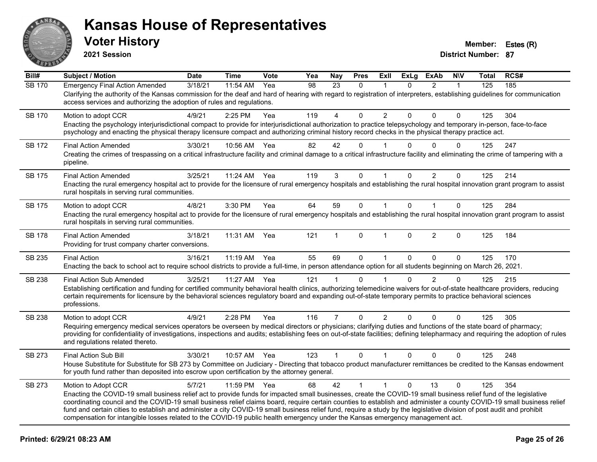![](_page_24_Picture_0.jpeg)

**2021 Session**

| Bill#         | <b>Subject / Motion</b>                                                                                                                                                                                                                                                                                                                                                                                                                                                                                                                                                                                                                                                       | <b>Date</b> | <b>Time</b> | Vote | Yea | <b>Nay</b>     | <b>Pres</b>  | ExII           | <b>ExLg</b>  | <b>ExAb</b>    | <b>NIV</b>   | <b>Total</b> | RCS# |
|---------------|-------------------------------------------------------------------------------------------------------------------------------------------------------------------------------------------------------------------------------------------------------------------------------------------------------------------------------------------------------------------------------------------------------------------------------------------------------------------------------------------------------------------------------------------------------------------------------------------------------------------------------------------------------------------------------|-------------|-------------|------|-----|----------------|--------------|----------------|--------------|----------------|--------------|--------------|------|
| <b>SB 170</b> | <b>Emergency Final Action Amended</b><br>Clarifying the authority of the Kansas commission for the deaf and hard of hearing with regard to registration of interpreters, establishing guidelines for communication<br>access services and authorizing the adoption of rules and regulations.                                                                                                                                                                                                                                                                                                                                                                                  | 3/18/21     | 11:54 AM    | Yea  | 98  | 23             | $\mathbf{0}$ |                | 0            | $\overline{2}$ | $\mathbf{1}$ | 125          | 185  |
| SB 170        | Motion to adopt CCR<br>Enacting the psychology interjurisdictional compact to provide for interjurisdictional authorization to practice telepsychology and temporary in-person, face-to-face<br>psychology and enacting the physical therapy licensure compact and authorizing criminal history record checks in the physical therapy practice act.                                                                                                                                                                                                                                                                                                                           | 4/9/21      | 2:25 PM     | Yea  | 119 | 4              | 0            | $\overline{2}$ | 0            | $\Omega$       | $\Omega$     | 125          | 304  |
| <b>SB 172</b> | <b>Final Action Amended</b><br>Creating the crimes of trespassing on a critical infrastructure facility and criminal damage to a critical infrastructure facility and eliminating the crime of tampering with a<br>pipeline.                                                                                                                                                                                                                                                                                                                                                                                                                                                  | 3/30/21     | 10:56 AM    | Yea  | 82  | 42             | $\Omega$     |                | 0            | $\Omega$       | $\Omega$     | 125          | 247  |
| <b>SB 175</b> | <b>Final Action Amended</b><br>Enacting the rural emergency hospital act to provide for the licensure of rural emergency hospitals and establishing the rural hospital innovation grant program to assist<br>rural hospitals in serving rural communities.                                                                                                                                                                                                                                                                                                                                                                                                                    | 3/25/21     | 11:24 AM    | Yea  | 119 | 3              | $\mathbf{0}$ | $\mathbf 1$    | $\mathbf{0}$ | $\overline{2}$ | $\mathbf{0}$ | 125          | 214  |
| SB 175        | Motion to adopt CCR<br>Enacting the rural emergency hospital act to provide for the licensure of rural emergency hospitals and establishing the rural hospital innovation grant program to assist<br>rural hospitals in serving rural communities.                                                                                                                                                                                                                                                                                                                                                                                                                            | 4/8/21      | 3:30 PM     | Yea  | 64  | 59             | $\mathbf{0}$ | $\mathbf{1}$   | $\Omega$     | $\mathbf{1}$   | $\mathbf{0}$ | 125          | 284  |
| <b>SB 178</b> | <b>Final Action Amended</b><br>Providing for trust company charter conversions.                                                                                                                                                                                                                                                                                                                                                                                                                                                                                                                                                                                               | 3/18/21     | 11:31 AM    | Yea  | 121 | $\mathbf 1$    | $\Omega$     | 1              | $\Omega$     | $\overline{2}$ | $\Omega$     | 125          | 184  |
| SB 235        | <b>Final Action</b><br>Enacting the back to school act to require school districts to provide a full-time, in person attendance option for all students beginning on March 26, 2021.                                                                                                                                                                                                                                                                                                                                                                                                                                                                                          | 3/16/21     | $11:19$ AM  | Yea  | 55  | 69             | $\Omega$     | $\mathbf{1}$   | $\Omega$     | $\Omega$       | $\Omega$     | 125          | 170  |
| <b>SB 238</b> | <b>Final Action Sub Amended</b><br>Establishing certification and funding for certified community behavioral health clinics, authorizing telemedicine waivers for out-of-state healthcare providers, reducing<br>certain requirements for licensure by the behavioral sciences regulatory board and expanding out-of-state temporary permits to practice behavioral sciences<br>professions.                                                                                                                                                                                                                                                                                  | 3/25/21     | 11:27 AM    | Yea  | 121 | 1              | $\Omega$     |                | 0            | $\overline{2}$ | $\Omega$     | 125          | 215  |
| SB 238        | Motion to adopt CCR<br>Requiring emergency medical services operators be overseen by medical directors or physicians; clarifying duties and functions of the state board of pharmacy;<br>providing for confidentiality of investigations, inspections and audits; establishing fees on out-of-state facilities; defining telepharmacy and requiring the adoption of rules<br>and regulations related thereto.                                                                                                                                                                                                                                                                 | 4/9/21      | 2:28 PM     | Yea  | 116 | $\overline{7}$ | 0            | $\overline{2}$ | $\mathbf 0$  | 0              | 0            | 125          | 305  |
| SB 273        | Final Action Sub Bill<br>House Substitute for Substitute for SB 273 by Committee on Judiciary - Directing that tobacco product manufacturer remittances be credited to the Kansas endowment<br>for youth fund rather than deposited into escrow upon certification by the attorney general.                                                                                                                                                                                                                                                                                                                                                                                   | 3/30/21     | 10:57 AM    | Yea  | 123 | $\mathbf{1}$   | $\mathbf 0$  | $\mathbf 1$    | $\mathbf{0}$ | 0              | $\mathbf 0$  | 125          | 248  |
| SB 273        | Motion to Adopt CCR<br>Enacting the COVID-19 small business relief act to provide funds for impacted small businesses, create the COVID-19 small business relief fund of the legislative<br>coordinating council and the COVID-19 small business relief claims board, require certain counties to establish and administer a county COVID-19 small business relief<br>fund and certain cities to establish and administer a city COVID-19 small business relief fund, require a study by the legislative division of post audit and prohibit<br>compensation for intangible losses related to the COVID-19 public health emergency under the Kansas emergency management act. | 5/7/21      | 11:59 PM    | Yea  | 68  | 42             | $\mathbf{1}$ | $\mathbf{1}$   | $\Omega$     | 13             | $\Omega$     | 125          | 354  |